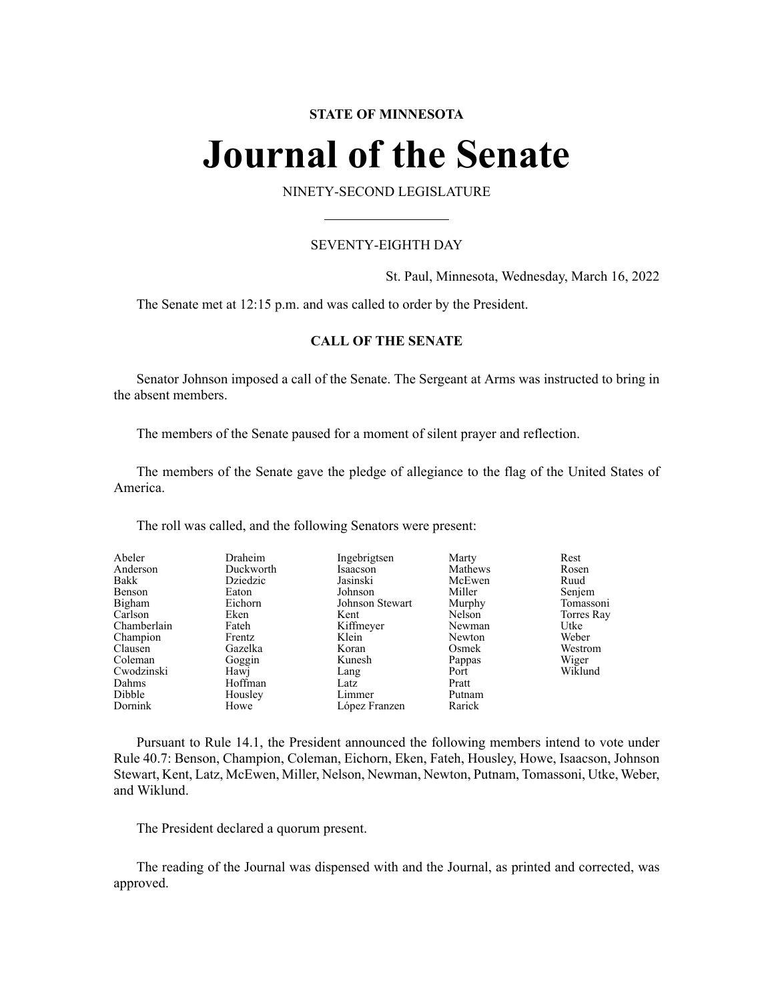### **STATE OF MINNESOTA**

# **Journal of the Senate**

NINETY-SECOND LEGISLATURE

#### SEVENTY-EIGHTH DAY

St. Paul, Minnesota, Wednesday, March 16, 2022

The Senate met at 12:15 p.m. and was called to order by the President.

#### **CALL OF THE SENATE**

Senator Johnson imposed a call of the Senate. The Sergeant at Arms was instructed to bring in the absent members.

The members of the Senate paused for a moment of silent prayer and reflection.

The members of the Senate gave the pledge of allegiance to the flag of the United States of America.

The roll was called, and the following Senators were present:

| Abeler      | Draheim   | Ingebrigtsen    | Marty   | Rest       |
|-------------|-----------|-----------------|---------|------------|
| Anderson    | Duckworth | Isaacson        | Mathews | Rosen      |
| Bakk        | Dziedzic  | Jasinski        | McEwen  | Ruud       |
| Benson      | Eaton     | Johnson         | Miller  | Senjem     |
| Bigham      | Eichorn   | Johnson Stewart | Murphy  | Tomassoni  |
| Carlson     | Eken      | Kent            | Nelson  | Torres Ray |
| Chamberlain | Fateh     | Kiffmeyer       | Newman  | Utke       |
| Champion    | Frentz    | Klein           | Newton  | Weber      |
| Clausen     | Gazelka   | Koran           | Osmek   | Westrom    |
| Coleman     | Goggin    | Kunesh          | Pappas  | Wiger      |
| Cwodzinski  | Hawj      | Lang            | Port    | Wiklund    |
| Dahms       | Hoffman   | Latz            | Pratt   |            |
| Dibble      | Housley   | Limmer          | Putnam  |            |
| Dornink     | Howe      | López Franzen   | Rarick  |            |

Pursuant to Rule 14.1, the President announced the following members intend to vote under Rule 40.7: Benson, Champion, Coleman, Eichorn, Eken, Fateh, Housley, Howe, Isaacson, Johnson Stewart, Kent, Latz, McEwen, Miller, Nelson, Newman, Newton, Putnam, Tomassoni, Utke, Weber, and Wiklund.

The President declared a quorum present.

The reading of the Journal was dispensed with and the Journal, as printed and corrected, was approved.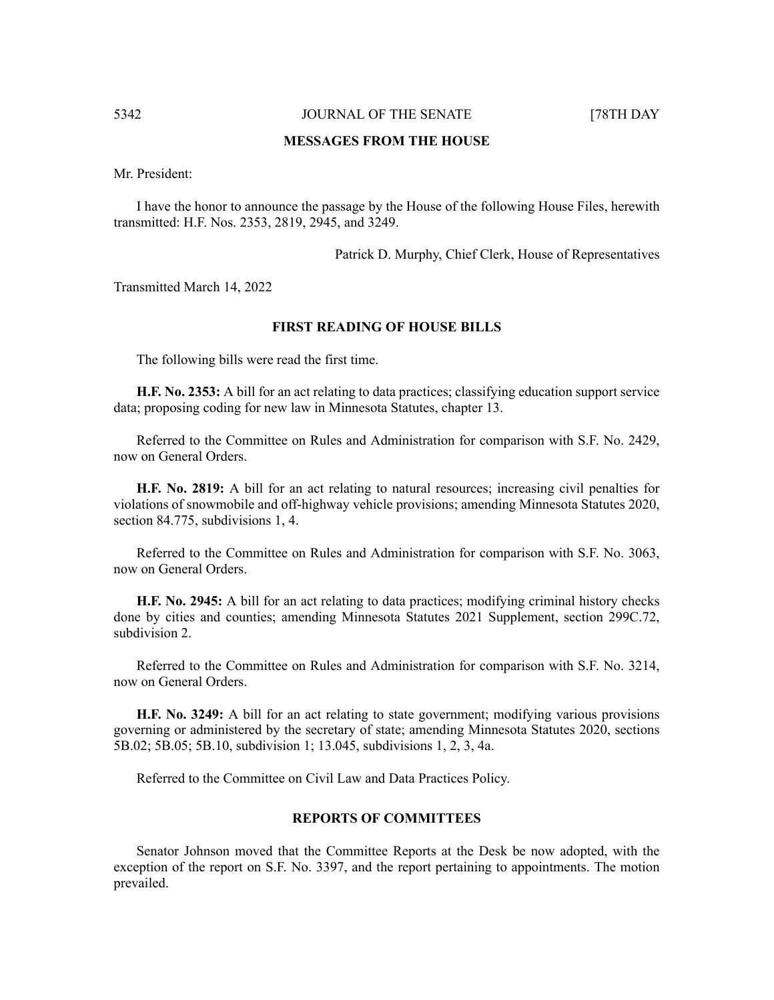#### **MESSAGES FROM THE HOUSE**

Mr. President:

I have the honor to announce the passage by the House of the following House Files, herewith transmitted: H.F. Nos. 2353, 2819, 2945, and 3249.

Patrick D. Murphy, Chief Clerk, House of Representatives

Transmitted March 14, 2022

#### **FIRST READING OF HOUSE BILLS**

The following bills were read the first time.

**H.F. No. 2353:** A bill for an act relating to data practices; classifying education support service data; proposing coding for new law in Minnesota Statutes, chapter 13.

Referred to the Committee on Rules and Administration for comparison with S.F. No. 2429, now on General Orders.

**H.F. No. 2819:** A bill for an act relating to natural resources; increasing civil penalties for violations of snowmobile and off-highway vehicle provisions; amending Minnesota Statutes 2020, section 84.775, subdivisions 1, 4.

Referred to the Committee on Rules and Administration for comparison with S.F. No. 3063, now on General Orders.

**H.F. No. 2945:** A bill for an act relating to data practices; modifying criminal history checks done by cities and counties; amending Minnesota Statutes 2021 Supplement, section 299C.72, subdivision 2.

Referred to the Committee on Rules and Administration for comparison with S.F. No. 3214, now on General Orders.

**H.F. No. 3249:** A bill for an act relating to state government; modifying various provisions governing or administered by the secretary of state; amending Minnesota Statutes 2020, sections 5B.02; 5B.05; 5B.10, subdivision 1; 13.045, subdivisions 1, 2, 3, 4a.

Referred to the Committee on Civil Law and Data Practices Policy.

#### **REPORTS OF COMMITTEES**

Senator Johnson moved that the Committee Reports at the Desk be now adopted, with the exception of the report on S.F. No. 3397, and the report pertaining to appointments. The motion prevailed.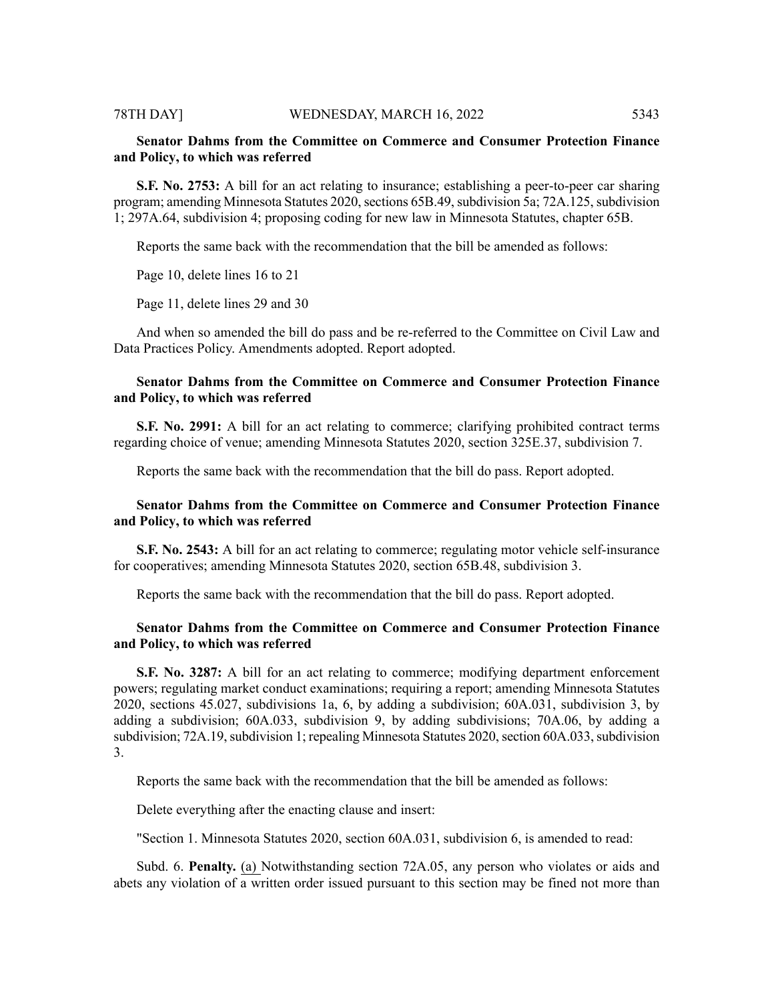### **Senator Dahms from the Committee on Commerce and Consumer Protection Finance and Policy, to which was referred**

**S.F. No. 2753:** A bill for an act relating to insurance; establishing a peer-to-peer car sharing program; amending Minnesota Statutes 2020, sections 65B.49, subdivision 5a; 72A.125, subdivision 1; 297A.64, subdivision 4; proposing coding for new law in Minnesota Statutes, chapter 65B.

Reports the same back with the recommendation that the bill be amended as follows:

Page 10, delete lines 16 to 21

Page 11, delete lines 29 and 30

And when so amended the bill do pass and be re-referred to the Committee on Civil Law and Data Practices Policy. Amendments adopted. Report adopted.

### **Senator Dahms from the Committee on Commerce and Consumer Protection Finance and Policy, to which was referred**

**S.F. No. 2991:** A bill for an act relating to commerce; clarifying prohibited contract terms regarding choice of venue; amending Minnesota Statutes 2020, section 325E.37, subdivision 7.

Reports the same back with the recommendation that the bill do pass. Report adopted.

#### **Senator Dahms from the Committee on Commerce and Consumer Protection Finance and Policy, to which was referred**

**S.F. No. 2543:** A bill for an act relating to commerce; regulating motor vehicle self-insurance for cooperatives; amending Minnesota Statutes 2020, section 65B.48, subdivision 3.

Reports the same back with the recommendation that the bill do pass. Report adopted.

#### **Senator Dahms from the Committee on Commerce and Consumer Protection Finance and Policy, to which was referred**

**S.F. No. 3287:** A bill for an act relating to commerce; modifying department enforcement powers; regulating market conduct examinations; requiring a report; amending Minnesota Statutes 2020, sections 45.027, subdivisions 1a, 6, by adding a subdivision; 60A.031, subdivision 3, by adding a subdivision; 60A.033, subdivision 9, by adding subdivisions; 70A.06, by adding a subdivision; 72A.19, subdivision 1; repealing Minnesota Statutes 2020, section 60A.033, subdivision 3.

Reports the same back with the recommendation that the bill be amended as follows:

Delete everything after the enacting clause and insert:

"Section 1. Minnesota Statutes 2020, section 60A.031, subdivision 6, is amended to read:

Subd. 6. **Penalty.** (a) Notwithstanding section 72A.05, any person who violates or aids and abets any violation of  $\overline{a}$  written order issued pursuant to this section may be fined not more than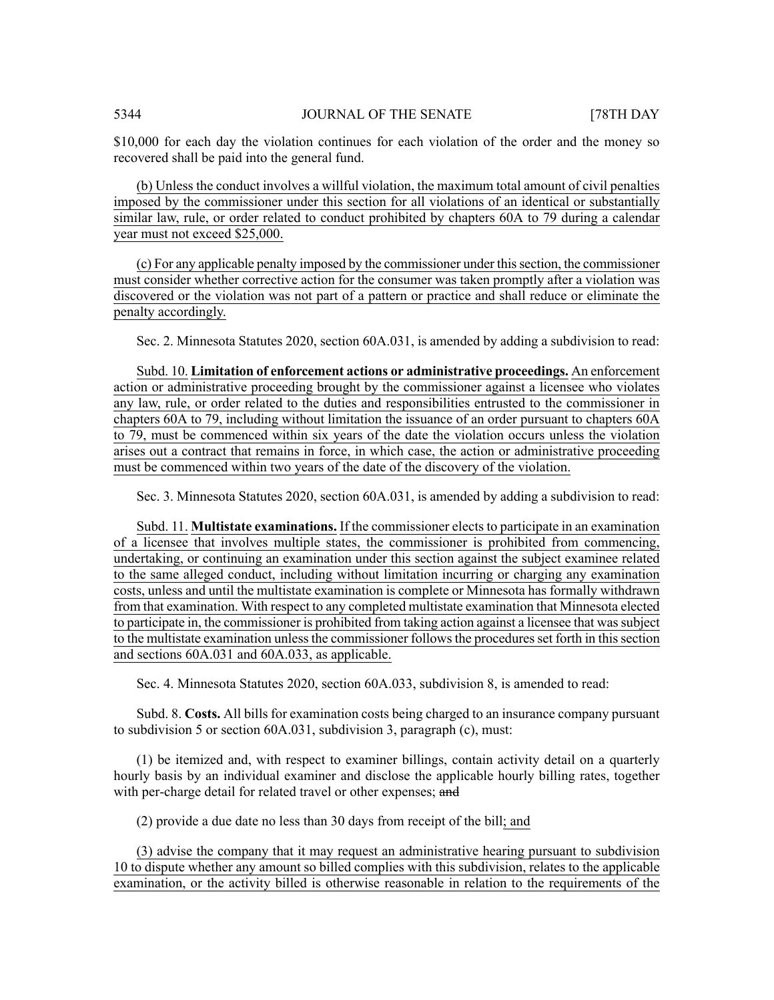\$10,000 for each day the violation continues for each violation of the order and the money so recovered shall be paid into the general fund.

(b) Unless the conduct involves a willful violation, the maximum total amount of civil penalties imposed by the commissioner under this section for all violations of an identical or substantially similar law, rule, or order related to conduct prohibited by chapters 60A to 79 during a calendar year must not exceed \$25,000.

(c) For any applicable penalty imposed by the commissioner under thissection, the commissioner must consider whether corrective action for the consumer was taken promptly after a violation was discovered or the violation was not part of a pattern or practice and shall reduce or eliminate the penalty accordingly.

Sec. 2. Minnesota Statutes 2020, section 60A.031, is amended by adding a subdivision to read:

Subd. 10. **Limitation of enforcement actions or administrative proceedings.** An enforcement action or administrative proceeding brought by the commissioner against a licensee who violates any law, rule, or order related to the duties and responsibilities entrusted to the commissioner in chapters 60A to 79, including without limitation the issuance of an order pursuant to chapters 60A to 79, must be commenced within six years of the date the violation occurs unless the violation arises out a contract that remains in force, in which case, the action or administrative proceeding must be commenced within two years of the date of the discovery of the violation.

Sec. 3. Minnesota Statutes 2020, section 60A.031, is amended by adding a subdivision to read:

Subd. 11. **Multistate examinations.** If the commissioner elects to participate in an examination of a licensee that involves multiple states, the commissioner is prohibited from commencing, undertaking, or continuing an examination under this section against the subject examinee related to the same alleged conduct, including without limitation incurring or charging any examination costs, unless and until the multistate examination is complete or Minnesota has formally withdrawn from that examination. With respect to any completed multistate examination that Minnesota elected to participate in, the commissioner is prohibited from taking action against a licensee that wassubject to the multistate examination unless the commissioner follows the procedures set forth in this section and sections 60A.031 and 60A.033, as applicable.

Sec. 4. Minnesota Statutes 2020, section 60A.033, subdivision 8, is amended to read:

Subd. 8. **Costs.** All bills for examination costs being charged to an insurance company pursuant to subdivision 5 or section 60A.031, subdivision 3, paragraph (c), must:

(1) be itemized and, with respect to examiner billings, contain activity detail on a quarterly hourly basis by an individual examiner and disclose the applicable hourly billing rates, together with per-charge detail for related travel or other expenses; and

(2) provide a due date no less than 30 days from receipt of the bill; and

(3) advise the company that it may request an administrative hearing pursuant to subdivision 10 to dispute whether any amount so billed complies with this subdivision, relates to the applicable examination, or the activity billed is otherwise reasonable in relation to the requirements of the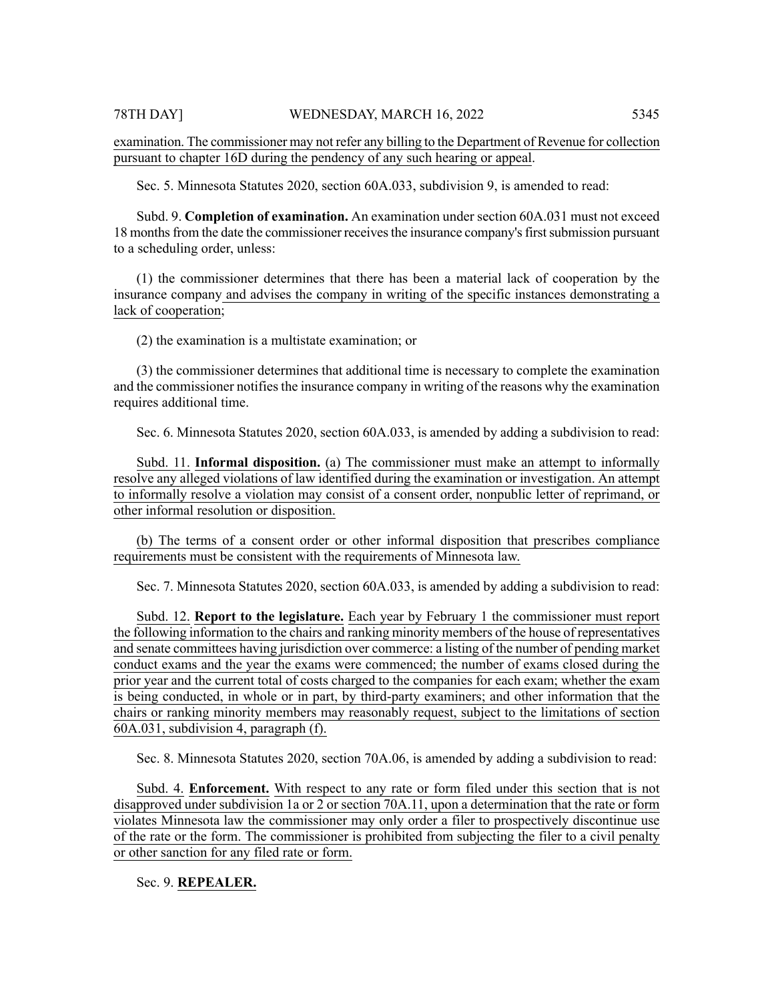examination. The commissioner may not refer any billing to the Department of Revenue for collection pursuant to chapter 16D during the pendency of any such hearing or appeal.

Sec. 5. Minnesota Statutes 2020, section 60A.033, subdivision 9, is amended to read:

Subd. 9. **Completion of examination.** An examination under section 60A.031 must not exceed 18 months from the date the commissioner receives the insurance company's first submission pursuant to a scheduling order, unless:

(1) the commissioner determines that there has been a material lack of cooperation by the insurance company and advises the company in writing of the specific instances demonstrating a lack of cooperation;

(2) the examination is a multistate examination; or

(3) the commissioner determines that additional time is necessary to complete the examination and the commissioner notifies the insurance company in writing of the reasons why the examination requires additional time.

Sec. 6. Minnesota Statutes 2020, section 60A.033, is amended by adding a subdivision to read:

Subd. 11. **Informal disposition.** (a) The commissioner must make an attempt to informally resolve any alleged violations of law identified during the examination or investigation. An attempt to informally resolve a violation may consist of a consent order, nonpublic letter of reprimand, or other informal resolution or disposition.

(b) The terms of a consent order or other informal disposition that prescribes compliance requirements must be consistent with the requirements of Minnesota law.

Sec. 7. Minnesota Statutes 2020, section 60A.033, is amended by adding a subdivision to read:

Subd. 12. **Report to the legislature.** Each year by February 1 the commissioner must report the following information to the chairs and ranking minority members of the house of representatives and senate committees having jurisdiction over commerce: a listing of the number of pending market conduct exams and the year the exams were commenced; the number of exams closed during the prior year and the current total of costs charged to the companies for each exam; whether the exam is being conducted, in whole or in part, by third-party examiners; and other information that the chairs or ranking minority members may reasonably request, subject to the limitations of section 60A.031, subdivision 4, paragraph (f).

Sec. 8. Minnesota Statutes 2020, section 70A.06, is amended by adding a subdivision to read:

Subd. 4. **Enforcement.** With respect to any rate or form filed under this section that is not disapproved under subdivision 1a or 2 or section 70A.11, upon a determination that the rate or form violates Minnesota law the commissioner may only order a filer to prospectively discontinue use of the rate or the form. The commissioner is prohibited from subjecting the filer to a civil penalty or other sanction for any filed rate or form.

Sec. 9. **REPEALER.**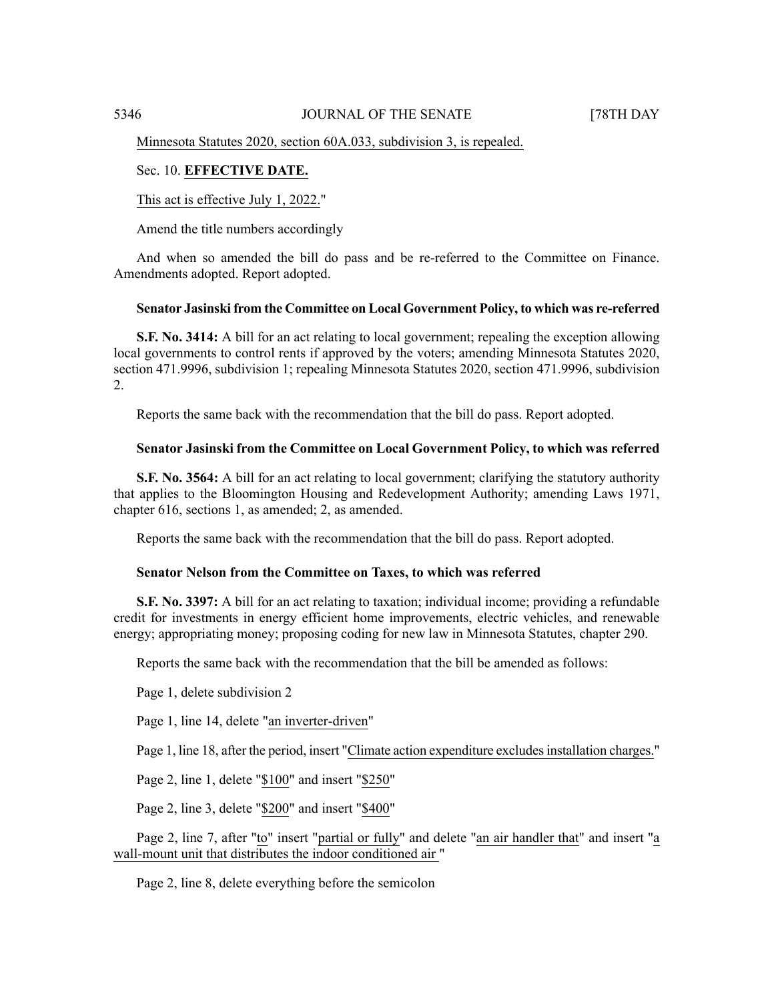Minnesota Statutes 2020, section 60A.033, subdivision 3, is repealed.

### Sec. 10. **EFFECTIVE DATE.**

This act is effective July 1, 2022."

Amend the title numbers accordingly

And when so amended the bill do pass and be re-referred to the Committee on Finance. Amendments adopted. Report adopted.

#### **Senator Jasinski from the Committee on Local Government Policy, to which was re-referred**

**S.F. No. 3414:** A bill for an act relating to local government; repealing the exception allowing local governments to control rents if approved by the voters; amending Minnesota Statutes 2020, section 471.9996, subdivision 1; repealing Minnesota Statutes 2020, section 471.9996, subdivision 2.

Reports the same back with the recommendation that the bill do pass. Report adopted.

#### **Senator Jasinski from the Committee on Local Government Policy, to which was referred**

**S.F. No. 3564:** A bill for an act relating to local government; clarifying the statutory authority that applies to the Bloomington Housing and Redevelopment Authority; amending Laws 1971, chapter 616, sections 1, as amended; 2, as amended.

Reports the same back with the recommendation that the bill do pass. Report adopted.

#### **Senator Nelson from the Committee on Taxes, to which was referred**

**S.F. No. 3397:** A bill for an act relating to taxation; individual income; providing a refundable credit for investments in energy efficient home improvements, electric vehicles, and renewable energy; appropriating money; proposing coding for new law in Minnesota Statutes, chapter 290.

Reports the same back with the recommendation that the bill be amended as follows:

Page 1, delete subdivision 2

Page 1, line 14, delete "an inverter-driven"

Page 1, line 18, after the period, insert "Climate action expenditure excludes installation charges."

Page 2, line 1, delete "\$100" and insert "\$250"

Page 2, line 3, delete "\$200" and insert "\$400"

Page 2, line 7, after "to" insert "partial or fully" and delete "an air handler that" and insert "a wall-mount unit that distributes the indoor conditioned air "

Page 2, line 8, delete everything before the semicolon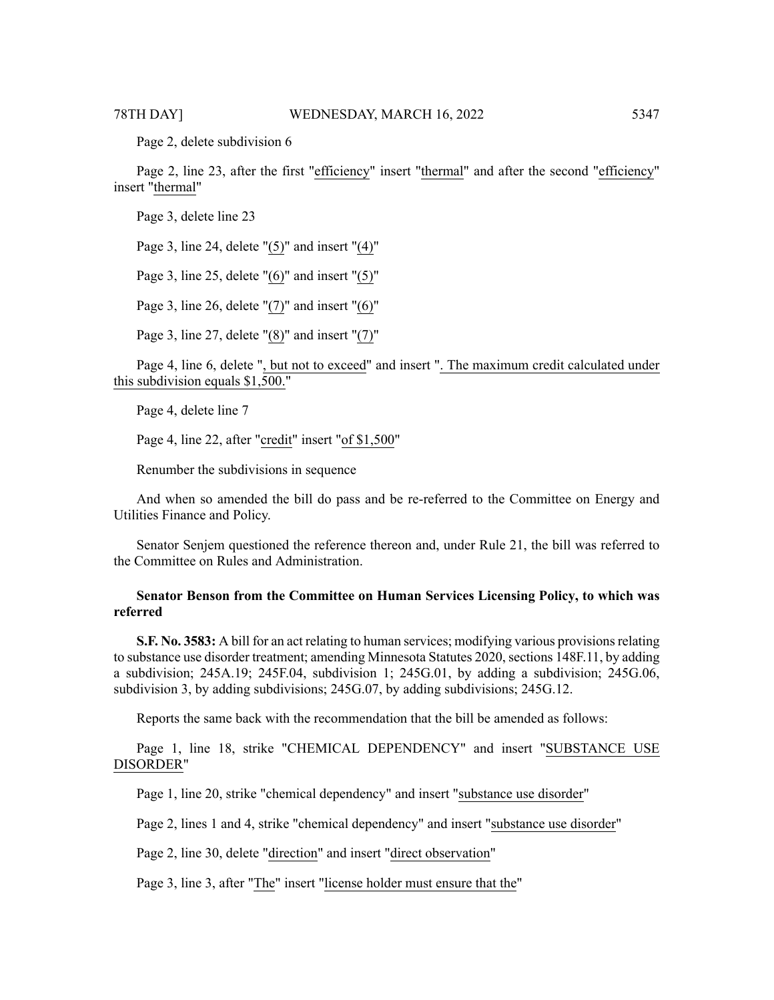Page 2, delete subdivision 6

Page 2, line 23, after the first "efficiency" insert "thermal" and after the second "efficiency" insert "thermal"

Page 3, delete line 23

Page 3, line 24, delete "(5)" and insert "(4)"

Page 3, line 25, delete " $(6)$ " and insert " $(5)$ "

Page 3, line 26, delete " $(7)$ " and insert "(6)"

Page 3, line 27, delete "(8)" and insert "(7)"

Page 4, line 6, delete ", but not to exceed" and insert ". The maximum credit calculated under this subdivision equals \$1,500."

Page 4, delete line 7

Page 4, line 22, after "credit" insert "of \$1,500"

Renumber the subdivisions in sequence

And when so amended the bill do pass and be re-referred to the Committee on Energy and Utilities Finance and Policy.

Senator Senjem questioned the reference thereon and, under Rule 21, the bill was referred to the Committee on Rules and Administration.

#### **Senator Benson from the Committee on Human Services Licensing Policy, to which was referred**

**S.F. No. 3583:** A bill for an act relating to human services; modifying various provisionsrelating to substance use disorder treatment; amending Minnesota Statutes 2020, sections 148F.11, by adding a subdivision; 245A.19; 245F.04, subdivision 1; 245G.01, by adding a subdivision; 245G.06, subdivision 3, by adding subdivisions; 245G.07, by adding subdivisions; 245G.12.

Reports the same back with the recommendation that the bill be amended as follows:

Page 1, line 18, strike "CHEMICAL DEPENDENCY" and insert "SUBSTANCE USE DISORDER"

Page 1, line 20, strike "chemical dependency" and insert "substance use disorder"

Page 2, lines 1 and 4, strike "chemical dependency" and insert "substance use disorder"

Page 2, line 30, delete "direction" and insert "direct observation"

Page 3, line 3, after "The" insert "license holder must ensure that the"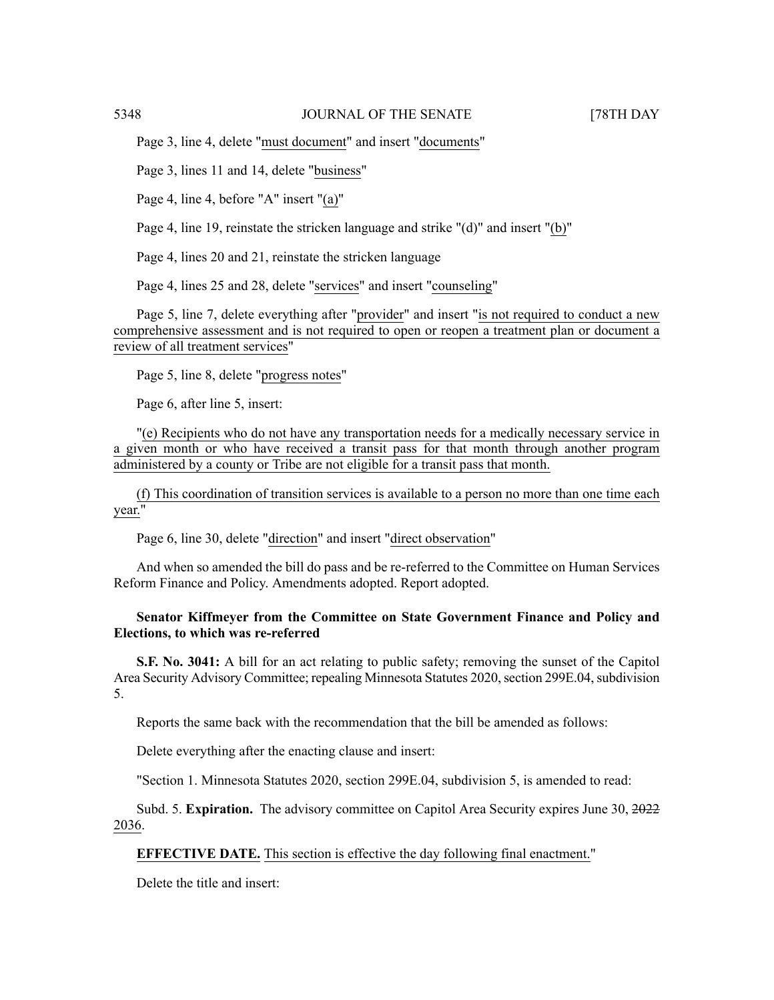Page 3, line 4, delete "must document" and insert "documents"

Page 3, lines 11 and 14, delete "business"

Page 4, line 4, before "A" insert "(a)"

Page 4, line 19, reinstate the stricken language and strike "(d)" and insert "(b)"

Page 4, lines 20 and 21, reinstate the stricken language

Page 4, lines 25 and 28, delete "services" and insert "counseling"

Page 5, line 7, delete everything after "provider" and insert "is not required to conduct a new comprehensive assessment and is not required to open or reopen a treatment plan or document a review of all treatment services"

Page 5, line 8, delete "progress notes"

Page 6, after line 5, insert:

"(e) Recipients who do not have any transportation needs for a medically necessary service in a given month or who have received a transit pass for that month through another program administered by a county or Tribe are not eligible for a transit pass that month.

(f) This coordination of transition services is available to a person no more than one time each year."

Page 6, line 30, delete "direction" and insert "direct observation"

And when so amended the bill do pass and be re-referred to the Committee on Human Services Reform Finance and Policy. Amendments adopted. Report adopted.

### **Senator Kiffmeyer from the Committee on State Government Finance and Policy and Elections, to which was re-referred**

**S.F.** No. 3041: A bill for an act relating to public safety; removing the sunset of the Capitol Area Security Advisory Committee; repealing Minnesota Statutes 2020, section 299E.04, subdivision 5.

Reports the same back with the recommendation that the bill be amended as follows:

Delete everything after the enacting clause and insert:

"Section 1. Minnesota Statutes 2020, section 299E.04, subdivision 5, is amended to read:

Subd. 5. **Expiration.** The advisory committee on Capitol Area Security expires June 30, 2022 2036.

### **EFFECTIVE DATE.** This section is effective the day following final enactment."

Delete the title and insert: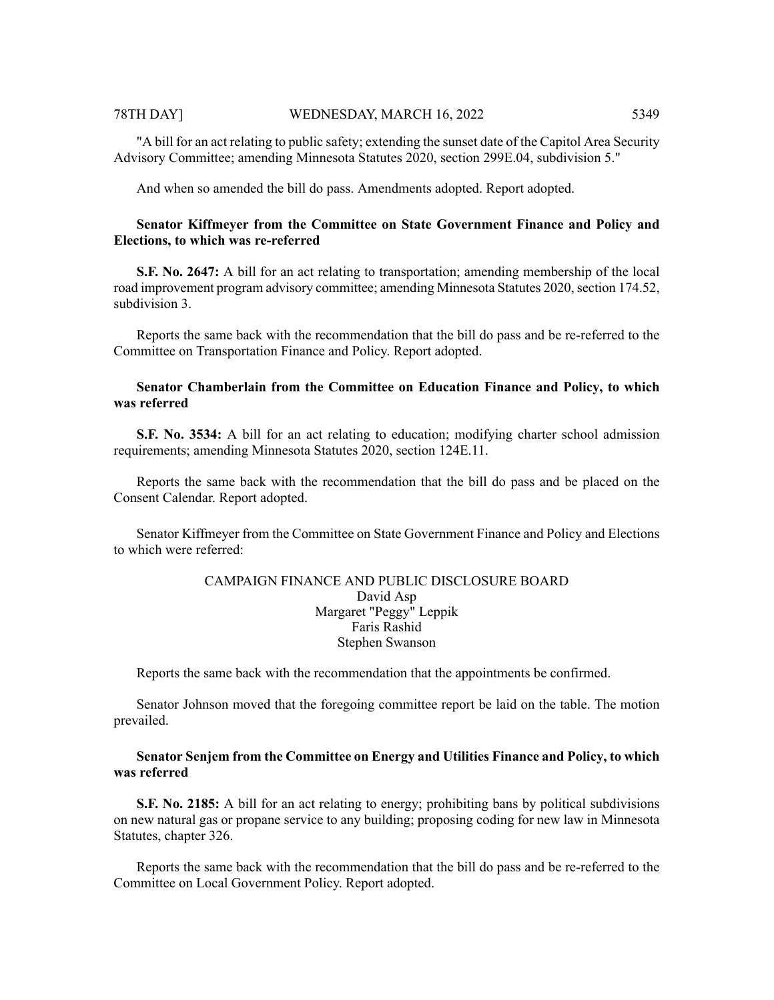"A bill for an act relating to public safety; extending the sunset date of the Capitol Area Security Advisory Committee; amending Minnesota Statutes 2020, section 299E.04, subdivision 5."

And when so amended the bill do pass. Amendments adopted. Report adopted.

#### **Senator Kiffmeyer from the Committee on State Government Finance and Policy and Elections, to which was re-referred**

**S.F. No. 2647:** A bill for an act relating to transportation; amending membership of the local road improvement program advisory committee; amending Minnesota Statutes 2020, section 174.52, subdivision 3.

Reports the same back with the recommendation that the bill do pass and be re-referred to the Committee on Transportation Finance and Policy. Report adopted.

#### **Senator Chamberlain from the Committee on Education Finance and Policy, to which was referred**

**S.F. No. 3534:** A bill for an act relating to education; modifying charter school admission requirements; amending Minnesota Statutes 2020, section 124E.11.

Reports the same back with the recommendation that the bill do pass and be placed on the Consent Calendar. Report adopted.

Senator Kiffmeyer from the Committee on State Government Finance and Policy and Elections to which were referred:

### CAMPAIGN FINANCE AND PUBLIC DISCLOSURE BOARD David Asp Margaret "Peggy" Leppik Faris Rashid Stephen Swanson

Reports the same back with the recommendation that the appointments be confirmed.

Senator Johnson moved that the foregoing committee report be laid on the table. The motion prevailed.

#### **Senator Senjem from the Committee on Energy and Utilities Finance and Policy, to which was referred**

**S.F. No. 2185:** A bill for an act relating to energy; prohibiting bans by political subdivisions on new natural gas or propane service to any building; proposing coding for new law in Minnesota Statutes, chapter 326.

Reports the same back with the recommendation that the bill do pass and be re-referred to the Committee on Local Government Policy. Report adopted.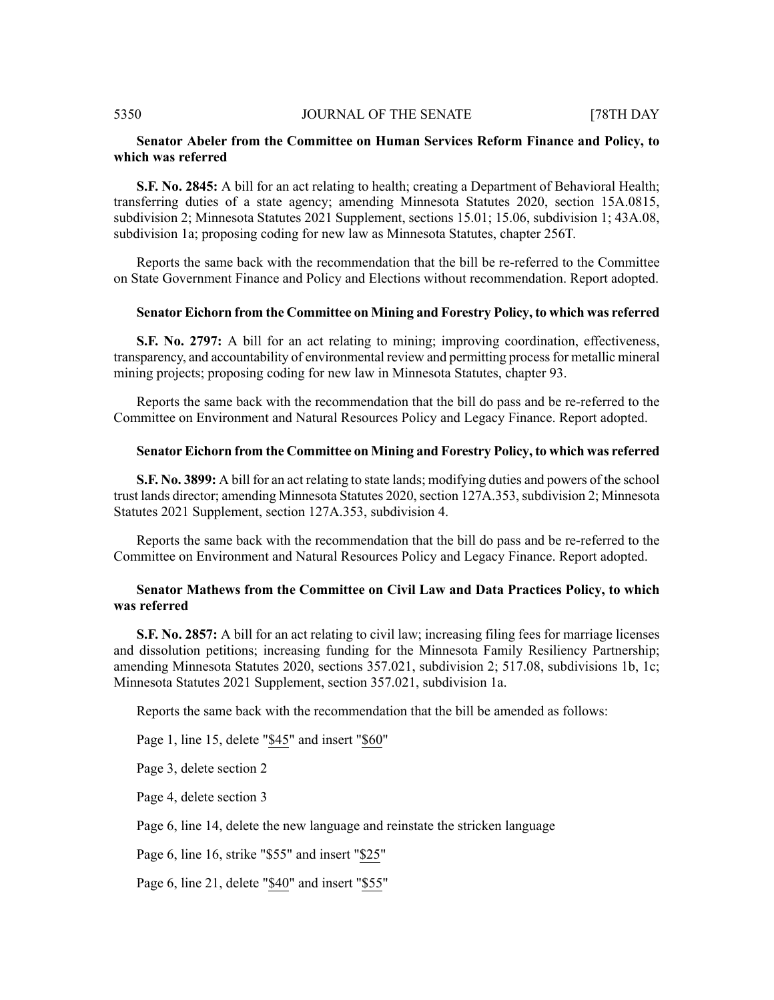#### **Senator Abeler from the Committee on Human Services Reform Finance and Policy, to which was referred**

**S.F. No. 2845:** A bill for an act relating to health; creating a Department of Behavioral Health; transferring duties of a state agency; amending Minnesota Statutes 2020, section 15A.0815, subdivision 2; Minnesota Statutes 2021 Supplement, sections 15.01; 15.06, subdivision 1; 43A.08, subdivision 1a; proposing coding for new law as Minnesota Statutes, chapter 256T.

Reports the same back with the recommendation that the bill be re-referred to the Committee on State Government Finance and Policy and Elections without recommendation. Report adopted.

#### **Senator Eichorn from the Committee on Mining and Forestry Policy, to which was referred**

**S.F. No. 2797:** A bill for an act relating to mining; improving coordination, effectiveness, transparency, and accountability of environmental review and permitting processfor metallic mineral mining projects; proposing coding for new law in Minnesota Statutes, chapter 93.

Reports the same back with the recommendation that the bill do pass and be re-referred to the Committee on Environment and Natural Resources Policy and Legacy Finance. Report adopted.

#### **Senator Eichorn from the Committee on Mining and Forestry Policy, to which was referred**

**S.F. No. 3899:** A bill for an act relating to state lands; modifying duties and powers of the school trust lands director; amending Minnesota Statutes 2020, section 127A.353, subdivision 2; Minnesota Statutes 2021 Supplement, section 127A.353, subdivision 4.

Reports the same back with the recommendation that the bill do pass and be re-referred to the Committee on Environment and Natural Resources Policy and Legacy Finance. Report adopted.

#### **Senator Mathews from the Committee on Civil Law and Data Practices Policy, to which was referred**

**S.F. No. 2857:** A bill for an act relating to civil law; increasing filing fees for marriage licenses and dissolution petitions; increasing funding for the Minnesota Family Resiliency Partnership; amending Minnesota Statutes 2020, sections 357.021, subdivision 2; 517.08, subdivisions 1b, 1c; Minnesota Statutes 2021 Supplement, section 357.021, subdivision 1a.

Reports the same back with the recommendation that the bill be amended as follows:

Page 1, line 15, delete "\$45" and insert "\$60"

Page 3, delete section 2

Page 4, delete section 3

Page 6, line 14, delete the new language and reinstate the stricken language

Page 6, line 16, strike "\$55" and insert "\$25"

Page 6, line 21, delete "\$40" and insert "\$55"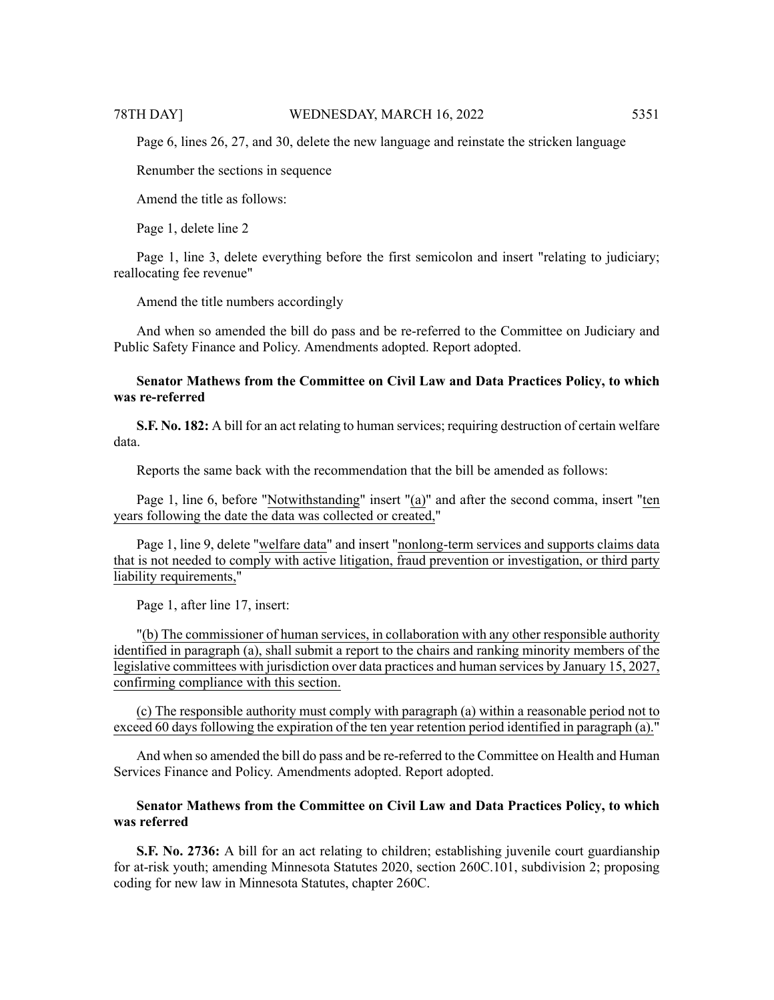Page 6, lines 26, 27, and 30, delete the new language and reinstate the stricken language

Renumber the sections in sequence

Amend the title as follows:

Page 1, delete line 2

Page 1, line 3, delete everything before the first semicolon and insert "relating to judiciary; reallocating fee revenue"

Amend the title numbers accordingly

And when so amended the bill do pass and be re-referred to the Committee on Judiciary and Public Safety Finance and Policy. Amendments adopted. Report adopted.

#### **Senator Mathews from the Committee on Civil Law and Data Practices Policy, to which was re-referred**

**S.F. No. 182:** A bill for an act relating to human services; requiring destruction of certain welfare data.

Reports the same back with the recommendation that the bill be amended as follows:

Page 1, line 6, before "Notwithstanding" insert "(a)" and after the second comma, insert "ten years following the date the data was collected or created,"

Page 1, line 9, delete "welfare data" and insert "nonlong-term services and supports claims data that is not needed to comply with active litigation, fraud prevention or investigation, or third party liability requirements,"

Page 1, after line 17, insert:

"(b) The commissioner of human services, in collaboration with any other responsible authority identified in paragraph (a), shall submit a report to the chairs and ranking minority members of the legislative committees with jurisdiction over data practices and human services by January 15, 2027, confirming compliance with this section.

(c) The responsible authority must comply with paragraph (a) within a reasonable period not to exceed 60 days following the expiration of the ten year retention period identified in paragraph (a)."

And when so amended the bill do pass and be re-referred to the Committee on Health and Human Services Finance and Policy. Amendments adopted. Report adopted.

### **Senator Mathews from the Committee on Civil Law and Data Practices Policy, to which was referred**

**S.F. No. 2736:** A bill for an act relating to children; establishing juvenile court guardianship for at-risk youth; amending Minnesota Statutes 2020, section 260C.101, subdivision 2; proposing coding for new law in Minnesota Statutes, chapter 260C.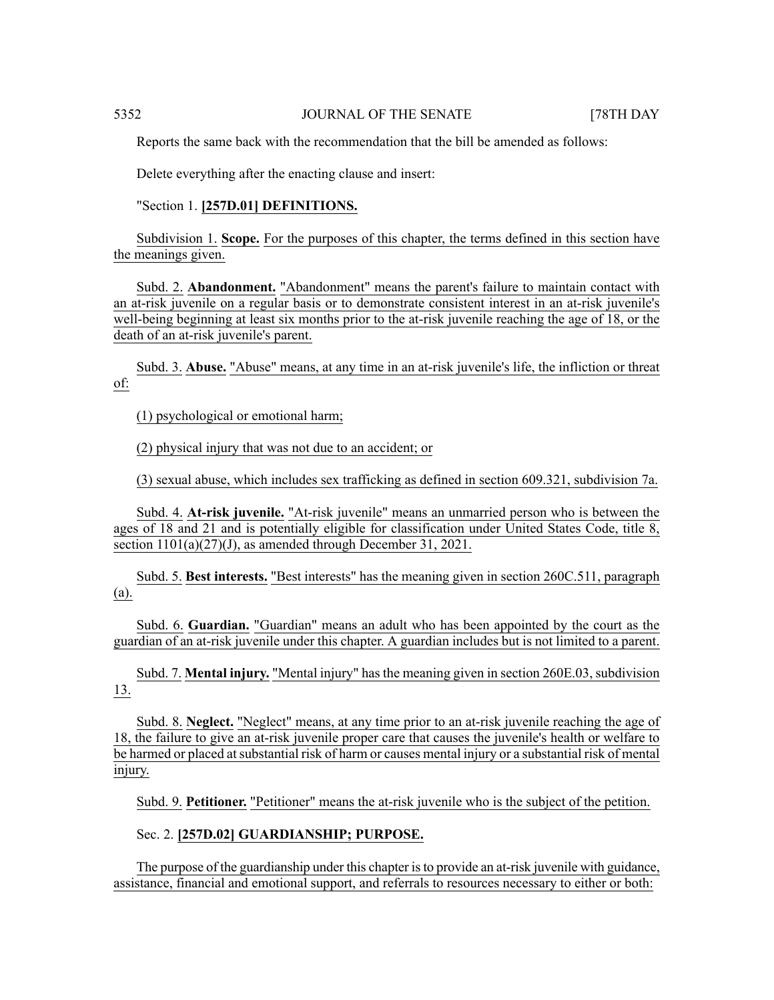Reports the same back with the recommendation that the bill be amended as follows:

Delete everything after the enacting clause and insert:

#### "Section 1. **[257D.01] DEFINITIONS.**

Subdivision 1. **Scope.** For the purposes of this chapter, the terms defined in this section have the meanings given.

Subd. 2. **Abandonment.** "Abandonment" means the parent's failure to maintain contact with an at-risk juvenile on a regular basis or to demonstrate consistent interest in an at-risk juvenile's well-being beginning at least six months prior to the at-risk juvenile reaching the age of 18, or the death of an at-risk juvenile's parent.

Subd. 3. **Abuse.** "Abuse" means, at any time in an at-risk juvenile's life, the infliction or threat of:

(1) psychological or emotional harm;

(2) physical injury that was not due to an accident; or

(3) sexual abuse, which includes sex trafficking as defined in section 609.321, subdivision 7a.

Subd. 4. **At-risk juvenile.** "At-risk juvenile" means an unmarried person who is between the ages of 18 and 21 and is potentially eligible for classification under United States Code, title 8, section 1101(a)(27)(J), as amended through December 31, 2021.

Subd. 5. **Best interests.** "Best interests" has the meaning given in section 260C.511, paragraph (a).

Subd. 6. **Guardian.** "Guardian" means an adult who has been appointed by the court as the guardian of an at-risk juvenile under this chapter. A guardian includes but is not limited to a parent.

Subd. 7. **Mental injury.** "Mental injury" has the meaning given in section 260E.03, subdivision 13.

Subd. 8. **Neglect.** "Neglect" means, at any time prior to an at-risk juvenile reaching the age of 18, the failure to give an at-risk juvenile proper care that causes the juvenile's health or welfare to be harmed or placed at substantial risk of harm or causes mental injury or a substantial risk of mental injury.

Subd. 9. **Petitioner.** "Petitioner" means the at-risk juvenile who is the subject of the petition.

### Sec. 2. **[257D.02] GUARDIANSHIP; PURPOSE.**

The purpose of the guardianship under this chapter isto provide an at-risk juvenile with guidance, assistance, financial and emotional support, and referrals to resources necessary to either or both: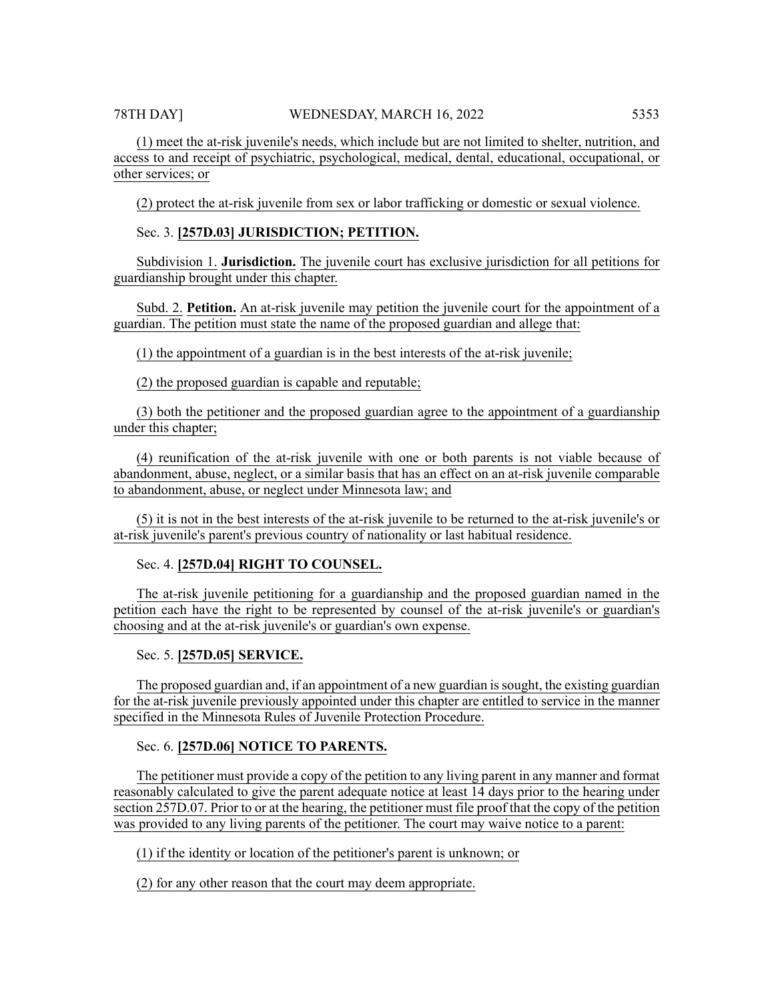(2) protect the at-risk juvenile from sex or labor trafficking or domestic or sexual violence.

Sec. 3. **[257D.03] JURISDICTION; PETITION.**

other services; or

Subdivision 1. **Jurisdiction.** The juvenile court has exclusive jurisdiction for all petitions for guardianship brought under this chapter.

Subd. 2. **Petition.** An at-risk juvenile may petition the juvenile court for the appointment of a guardian. The petition must state the name of the proposed guardian and allege that:

(1) the appointment of a guardian is in the best interests of the at-risk juvenile;

(2) the proposed guardian is capable and reputable;

(3) both the petitioner and the proposed guardian agree to the appointment of a guardianship under this chapter;

(4) reunification of the at-risk juvenile with one or both parents is not viable because of abandonment, abuse, neglect, or a similar basis that has an effect on an at-risk juvenile comparable to abandonment, abuse, or neglect under Minnesota law; and

(5) it is not in the best interests of the at-risk juvenile to be returned to the at-risk juvenile's or at-risk juvenile's parent's previous country of nationality or last habitual residence.

# Sec. 4. **[257D.04] RIGHT TO COUNSEL.**

The at-risk juvenile petitioning for a guardianship and the proposed guardian named in the petition each have the right to be represented by counsel of the at-risk juvenile's or guardian's choosing and at the at-risk juvenile's or guardian's own expense.

# Sec. 5. **[257D.05] SERVICE.**

The proposed guardian and, if an appointment of a new guardian issought, the existing guardian for the at-risk juvenile previously appointed under this chapter are entitled to service in the manner specified in the Minnesota Rules of Juvenile Protection Procedure.

# Sec. 6. **[257D.06] NOTICE TO PARENTS.**

The petitioner must provide a copy of the petition to any living parent in any manner and format reasonably calculated to give the parent adequate notice at least 14 days prior to the hearing under section 257D.07. Prior to or at the hearing, the petitioner must file proof that the copy of the petition was provided to any living parents of the petitioner. The court may waive notice to a parent:

(1) if the identity or location of the petitioner's parent is unknown; or

(2) for any other reason that the court may deem appropriate.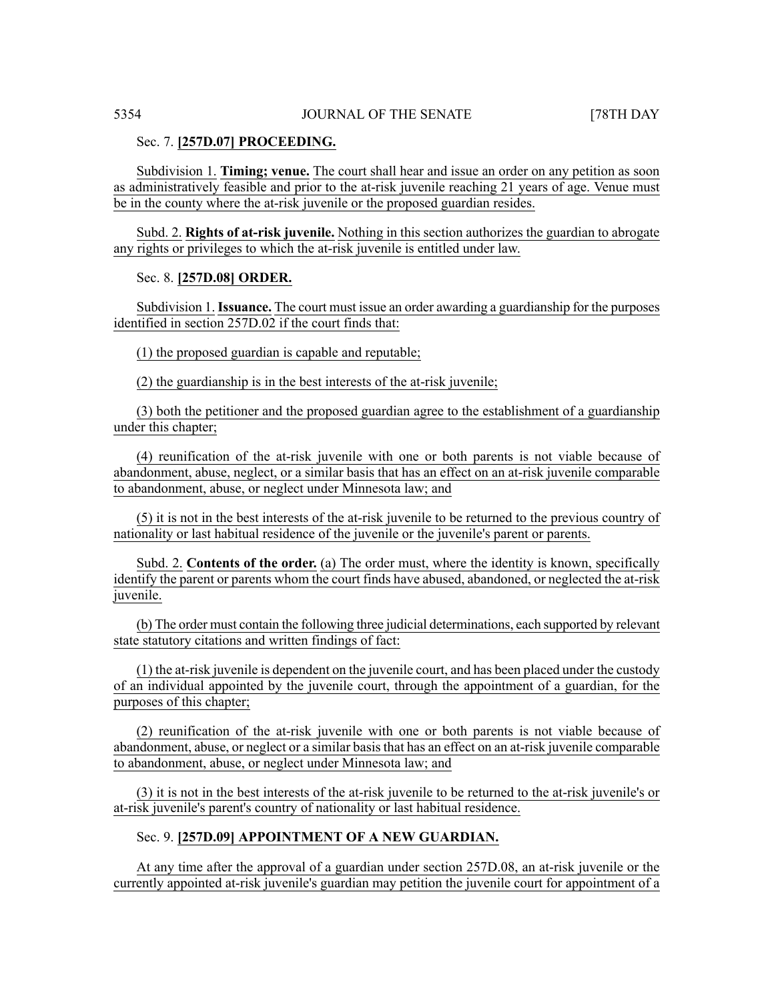#### Sec. 7. **[257D.07] PROCEEDING.**

Subdivision 1. **Timing; venue.** The court shall hear and issue an order on any petition as soon as administratively feasible and prior to the at-risk juvenile reaching 21 years of age. Venue must be in the county where the at-risk juvenile or the proposed guardian resides.

Subd. 2. **Rights of at-risk juvenile.** Nothing in this section authorizes the guardian to abrogate any rights or privileges to which the at-risk juvenile is entitled under law.

#### Sec. 8. **[257D.08] ORDER.**

Subdivision 1.**Issuance.** The court must issue an order awarding a guardianship for the purposes identified in section 257D.02 if the court finds that:

(1) the proposed guardian is capable and reputable;

(2) the guardianship is in the best interests of the at-risk juvenile;

(3) both the petitioner and the proposed guardian agree to the establishment of a guardianship under this chapter;

(4) reunification of the at-risk juvenile with one or both parents is not viable because of abandonment, abuse, neglect, or a similar basis that has an effect on an at-risk juvenile comparable to abandonment, abuse, or neglect under Minnesota law; and

(5) it is not in the best interests of the at-risk juvenile to be returned to the previous country of nationality or last habitual residence of the juvenile or the juvenile's parent or parents.

Subd. 2. **Contents of the order.** (a) The order must, where the identity is known, specifically identify the parent or parents whom the court finds have abused, abandoned, or neglected the at-risk juvenile.

(b) The order must contain the following three judicial determinations, each supported by relevant state statutory citations and written findings of fact:

(1) the at-risk juvenile is dependent on the juvenile court, and has been placed under the custody of an individual appointed by the juvenile court, through the appointment of a guardian, for the purposes of this chapter;

(2) reunification of the at-risk juvenile with one or both parents is not viable because of abandonment, abuse, or neglect or a similar basis that has an effect on an at-risk juvenile comparable to abandonment, abuse, or neglect under Minnesota law; and

(3) it is not in the best interests of the at-risk juvenile to be returned to the at-risk juvenile's or at-risk juvenile's parent's country of nationality or last habitual residence.

#### Sec. 9. **[257D.09] APPOINTMENT OF A NEW GUARDIAN.**

At any time after the approval of a guardian under section 257D.08, an at-risk juvenile or the currently appointed at-risk juvenile's guardian may petition the juvenile court for appointment of a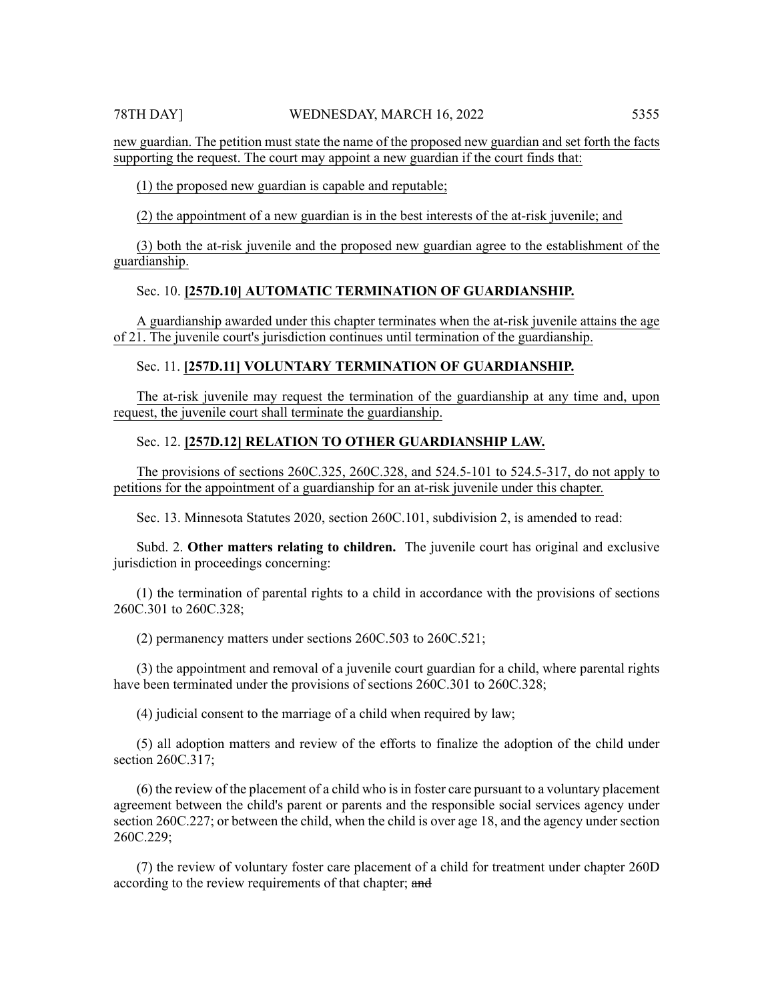new guardian. The petition must state the name of the proposed new guardian and set forth the facts supporting the request. The court may appoint a new guardian if the court finds that:

(1) the proposed new guardian is capable and reputable;

(2) the appointment of a new guardian is in the best interests of the at-risk juvenile; and

(3) both the at-risk juvenile and the proposed new guardian agree to the establishment of the guardianship.

### Sec. 10. **[257D.10] AUTOMATIC TERMINATION OF GUARDIANSHIP.**

A guardianship awarded under this chapter terminates when the at-risk juvenile attains the age of 21. The juvenile court's jurisdiction continues until termination of the guardianship.

### Sec. 11. **[257D.11] VOLUNTARY TERMINATION OF GUARDIANSHIP.**

The at-risk juvenile may request the termination of the guardianship at any time and, upon request, the juvenile court shall terminate the guardianship.

#### Sec. 12. **[257D.12] RELATION TO OTHER GUARDIANSHIP LAW.**

The provisions of sections 260C.325, 260C.328, and 524.5-101 to 524.5-317, do not apply to petitions for the appointment of a guardianship for an at-risk juvenile under this chapter.

Sec. 13. Minnesota Statutes 2020, section 260C.101, subdivision 2, is amended to read:

Subd. 2. **Other matters relating to children.** The juvenile court has original and exclusive jurisdiction in proceedings concerning:

(1) the termination of parental rights to a child in accordance with the provisions of sections 260C.301 to 260C.328;

(2) permanency matters under sections 260C.503 to 260C.521;

(3) the appointment and removal of a juvenile court guardian for a child, where parental rights have been terminated under the provisions of sections 260C.301 to 260C.328;

(4) judicial consent to the marriage of a child when required by law;

(5) all adoption matters and review of the efforts to finalize the adoption of the child under section 260C.317:

(6) the review of the placement of a child who isin foster care pursuant to a voluntary placement agreement between the child's parent or parents and the responsible social services agency under section 260C.227; or between the child, when the child is over age 18, and the agency under section 260C.229;

(7) the review of voluntary foster care placement of a child for treatment under chapter 260D according to the review requirements of that chapter; and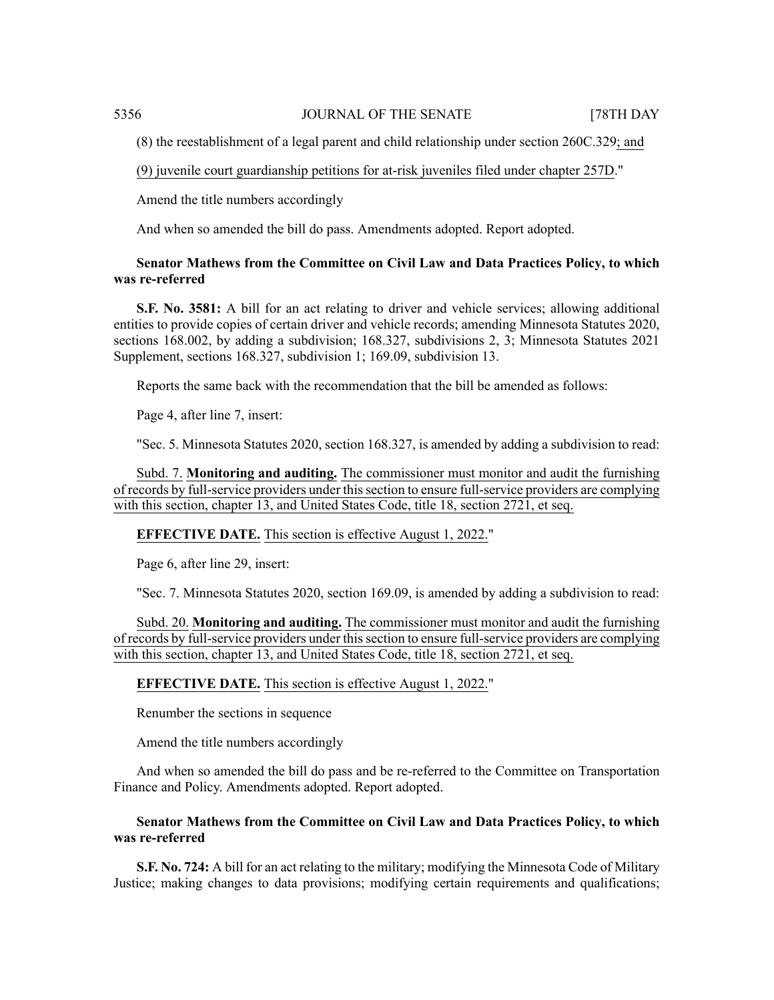(8) the reestablishment of a legal parent and child relationship under section 260C.329; and

(9) juvenile court guardianship petitions for at-risk juveniles filed under chapter 257D."

Amend the title numbers accordingly

And when so amended the bill do pass. Amendments adopted. Report adopted.

### **Senator Mathews from the Committee on Civil Law and Data Practices Policy, to which was re-referred**

**S.F. No. 3581:** A bill for an act relating to driver and vehicle services; allowing additional entities to provide copies of certain driver and vehicle records; amending Minnesota Statutes 2020, sections 168.002, by adding a subdivision; 168.327, subdivisions 2, 3; Minnesota Statutes 2021 Supplement, sections 168.327, subdivision 1; 169.09, subdivision 13.

Reports the same back with the recommendation that the bill be amended as follows:

Page 4, after line 7, insert:

"Sec. 5. Minnesota Statutes 2020, section 168.327, is amended by adding a subdivision to read:

Subd. 7. **Monitoring and auditing.** The commissioner must monitor and audit the furnishing of records by full-service providers under thissection to ensure full-service providers are complying with this section, chapter 13, and United States Code, title 18, section 2721, et seq.

**EFFECTIVE DATE.** This section is effective August 1, 2022."

Page 6, after line 29, insert:

"Sec. 7. Minnesota Statutes 2020, section 169.09, is amended by adding a subdivision to read:

Subd. 20. **Monitoring and auditing.** The commissioner must monitor and audit the furnishing of records by full-service providers under this section to ensure full-service providers are complying with this section, chapter 13, and United States Code, title 18, section 2721, et seq.

**EFFECTIVE DATE.** This section is effective August 1, 2022."

Renumber the sections in sequence

Amend the title numbers accordingly

And when so amended the bill do pass and be re-referred to the Committee on Transportation Finance and Policy. Amendments adopted. Report adopted.

### **Senator Mathews from the Committee on Civil Law and Data Practices Policy, to which was re-referred**

**S.F. No. 724:** A bill for an act relating to the military; modifying the Minnesota Code of Military Justice; making changes to data provisions; modifying certain requirements and qualifications;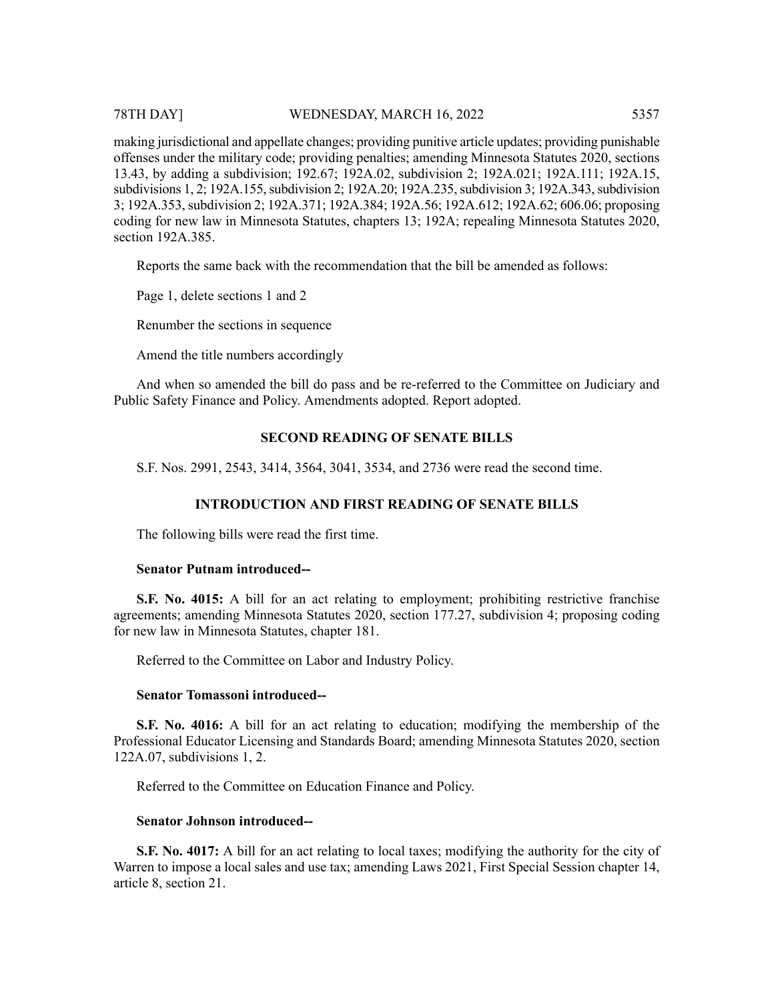#### 78TH DAY] WEDNESDAY, MARCH 16, 2022 5357

making jurisdictional and appellate changes; providing punitive article updates; providing punishable offenses under the military code; providing penalties; amending Minnesota Statutes 2020, sections 13.43, by adding a subdivision; 192.67; 192A.02, subdivision 2; 192A.021; 192A.111; 192A.15, subdivisions 1, 2; 192A.155, subdivision 2; 192A.20; 192A.235, subdivision 3; 192A.343, subdivision 3; 192A.353,subdivision 2; 192A.371; 192A.384; 192A.56; 192A.612; 192A.62; 606.06; proposing coding for new law in Minnesota Statutes, chapters 13; 192A; repealing Minnesota Statutes 2020, section 192A.385.

Reports the same back with the recommendation that the bill be amended as follows:

Page 1, delete sections 1 and 2

Renumber the sections in sequence

Amend the title numbers accordingly

And when so amended the bill do pass and be re-referred to the Committee on Judiciary and Public Safety Finance and Policy. Amendments adopted. Report adopted.

### **SECOND READING OF SENATE BILLS**

S.F. Nos. 2991, 2543, 3414, 3564, 3041, 3534, and 2736 were read the second time.

#### **INTRODUCTION AND FIRST READING OF SENATE BILLS**

The following bills were read the first time.

#### **Senator Putnam introduced--**

**S.F. No. 4015:** A bill for an act relating to employment; prohibiting restrictive franchise agreements; amending Minnesota Statutes 2020, section 177.27, subdivision 4; proposing coding for new law in Minnesota Statutes, chapter 181.

Referred to the Committee on Labor and Industry Policy.

### **Senator Tomassoni introduced--**

**S.F. No. 4016:** A bill for an act relating to education; modifying the membership of the Professional Educator Licensing and Standards Board; amending Minnesota Statutes 2020, section 122A.07, subdivisions 1, 2.

Referred to the Committee on Education Finance and Policy.

### **Senator Johnson introduced--**

**S.F. No. 4017:** A bill for an act relating to local taxes; modifying the authority for the city of Warren to impose a local sales and use tax; amending Laws 2021, First Special Session chapter 14, article 8, section 21.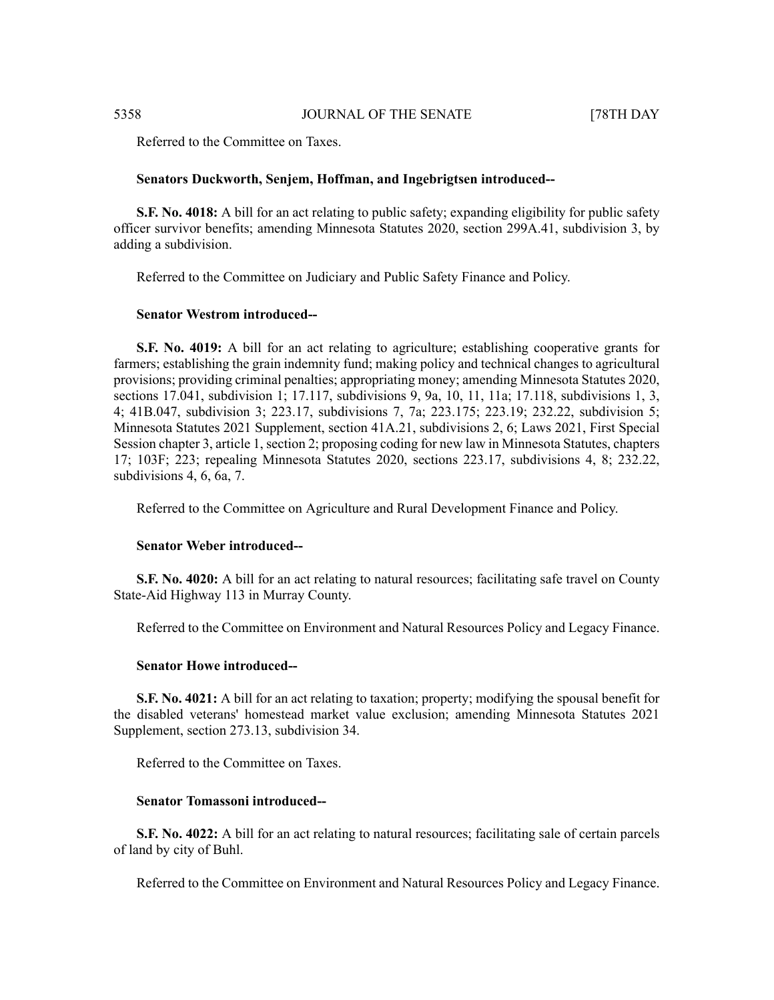Referred to the Committee on Taxes.

#### **Senators Duckworth, Senjem, Hoffman, and Ingebrigtsen introduced--**

**S.F. No. 4018:** A bill for an act relating to public safety; expanding eligibility for public safety officer survivor benefits; amending Minnesota Statutes 2020, section 299A.41, subdivision 3, by adding a subdivision.

Referred to the Committee on Judiciary and Public Safety Finance and Policy.

### **Senator Westrom introduced--**

**S.F. No. 4019:** A bill for an act relating to agriculture; establishing cooperative grants for farmers; establishing the grain indemnity fund; making policy and technical changes to agricultural provisions; providing criminal penalties; appropriating money; amending Minnesota Statutes 2020, sections 17.041, subdivision 1; 17.117, subdivisions 9, 9a, 10, 11, 11a; 17.118, subdivisions 1, 3, 4; 41B.047, subdivision 3; 223.17, subdivisions 7, 7a; 223.175; 223.19; 232.22, subdivision 5; Minnesota Statutes 2021 Supplement, section 41A.21, subdivisions 2, 6; Laws 2021, First Special Session chapter 3, article 1, section 2; proposing coding for new law in Minnesota Statutes, chapters 17; 103F; 223; repealing Minnesota Statutes 2020, sections 223.17, subdivisions 4, 8; 232.22, subdivisions 4, 6, 6a, 7.

Referred to the Committee on Agriculture and Rural Development Finance and Policy.

#### **Senator Weber introduced--**

**S.F. No. 4020:** A bill for an act relating to natural resources; facilitating safe travel on County State-Aid Highway 113 in Murray County.

Referred to the Committee on Environment and Natural Resources Policy and Legacy Finance.

#### **Senator Howe introduced--**

**S.F. No. 4021:** A bill for an act relating to taxation; property; modifying the spousal benefit for the disabled veterans' homestead market value exclusion; amending Minnesota Statutes 2021 Supplement, section 273.13, subdivision 34.

Referred to the Committee on Taxes.

#### **Senator Tomassoni introduced--**

**S.F. No. 4022:** A bill for an act relating to natural resources; facilitating sale of certain parcels of land by city of Buhl.

Referred to the Committee on Environment and Natural Resources Policy and Legacy Finance.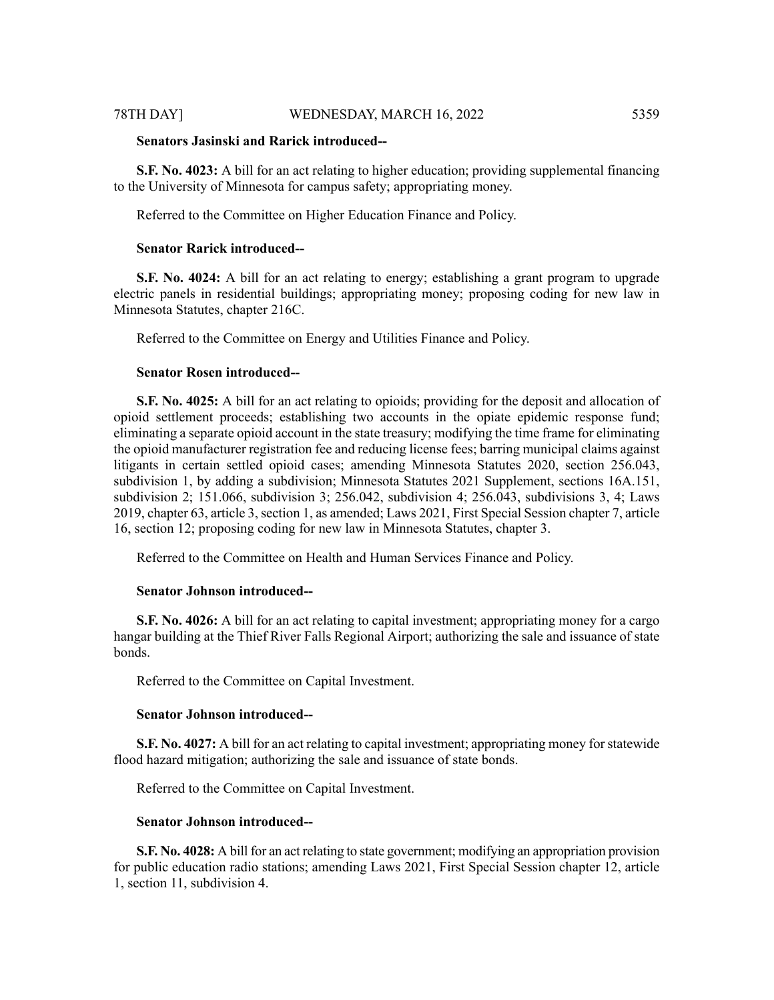### **Senators Jasinski and Rarick introduced--**

**S.F. No. 4023:** A bill for an act relating to higher education; providing supplemental financing to the University of Minnesota for campus safety; appropriating money.

Referred to the Committee on Higher Education Finance and Policy.

#### **Senator Rarick introduced--**

**S.F. No. 4024:** A bill for an act relating to energy; establishing a grant program to upgrade electric panels in residential buildings; appropriating money; proposing coding for new law in Minnesota Statutes, chapter 216C.

Referred to the Committee on Energy and Utilities Finance and Policy.

#### **Senator Rosen introduced--**

**S.F. No. 4025:** A bill for an act relating to opioids; providing for the deposit and allocation of opioid settlement proceeds; establishing two accounts in the opiate epidemic response fund; eliminating a separate opioid account in the state treasury; modifying the time frame for eliminating the opioid manufacturer registration fee and reducing license fees; barring municipal claims against litigants in certain settled opioid cases; amending Minnesota Statutes 2020, section 256.043, subdivision 1, by adding a subdivision; Minnesota Statutes 2021 Supplement, sections 16A.151, subdivision 2; 151.066, subdivision 3; 256.042, subdivision 4; 256.043, subdivisions 3, 4; Laws 2019, chapter 63, article 3, section 1, as amended; Laws 2021, First Special Session chapter 7, article 16, section 12; proposing coding for new law in Minnesota Statutes, chapter 3.

Referred to the Committee on Health and Human Services Finance and Policy.

#### **Senator Johnson introduced--**

**S.F. No. 4026:** A bill for an act relating to capital investment; appropriating money for a cargo hangar building at the Thief River Falls Regional Airport; authorizing the sale and issuance of state bonds.

Referred to the Committee on Capital Investment.

#### **Senator Johnson introduced--**

**S.F. No. 4027:** A bill for an act relating to capital investment; appropriating money for statewide flood hazard mitigation; authorizing the sale and issuance of state bonds.

Referred to the Committee on Capital Investment.

#### **Senator Johnson introduced--**

**S.F. No. 4028:** A bill for an act relating to state government; modifying an appropriation provision for public education radio stations; amending Laws 2021, First Special Session chapter 12, article 1, section 11, subdivision 4.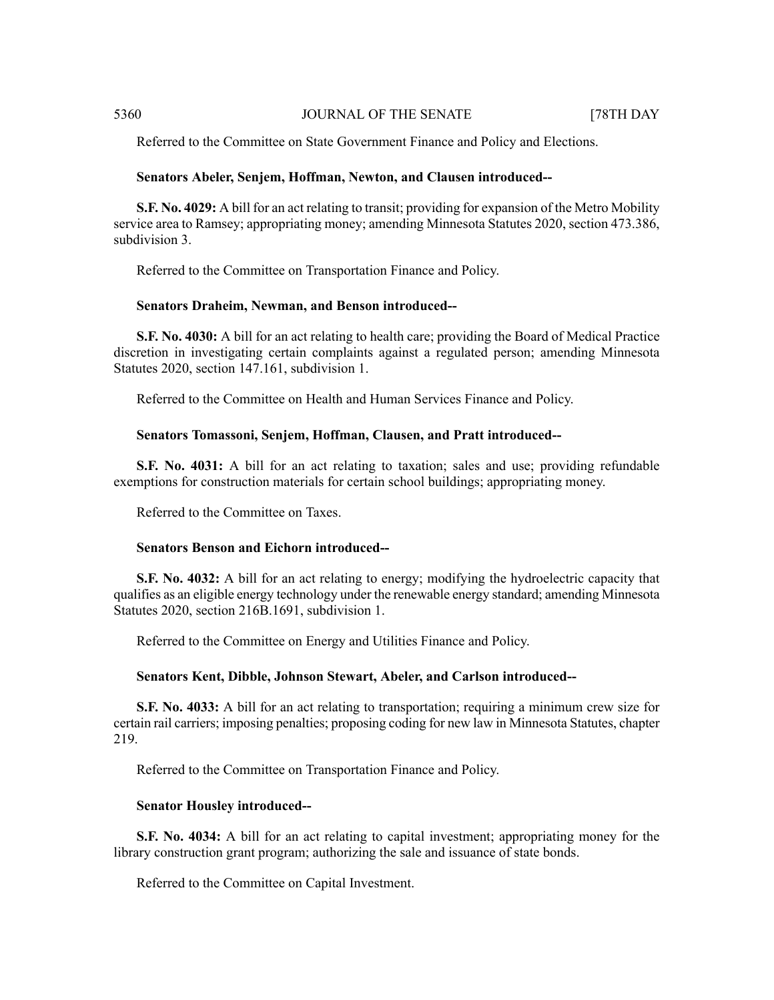Referred to the Committee on State Government Finance and Policy and Elections.

#### **Senators Abeler, Senjem, Hoffman, Newton, and Clausen introduced--**

**S.F. No. 4029:** A bill for an act relating to transit; providing for expansion of the Metro Mobility service area to Ramsey; appropriating money; amending Minnesota Statutes 2020, section 473.386, subdivision 3.

Referred to the Committee on Transportation Finance and Policy.

### **Senators Draheim, Newman, and Benson introduced--**

**S.F. No. 4030:** A bill for an act relating to health care; providing the Board of Medical Practice discretion in investigating certain complaints against a regulated person; amending Minnesota Statutes 2020, section 147.161, subdivision 1.

Referred to the Committee on Health and Human Services Finance and Policy.

### **Senators Tomassoni, Senjem, Hoffman, Clausen, and Pratt introduced--**

**S.F. No. 4031:** A bill for an act relating to taxation; sales and use; providing refundable exemptions for construction materials for certain school buildings; appropriating money.

Referred to the Committee on Taxes.

#### **Senators Benson and Eichorn introduced--**

**S.F. No. 4032:** A bill for an act relating to energy; modifying the hydroelectric capacity that qualifies as an eligible energy technology under the renewable energy standard; amending Minnesota Statutes 2020, section 216B.1691, subdivision 1.

Referred to the Committee on Energy and Utilities Finance and Policy.

#### **Senators Kent, Dibble, Johnson Stewart, Abeler, and Carlson introduced--**

**S.F. No. 4033:** A bill for an act relating to transportation; requiring a minimum crew size for certain rail carriers; imposing penalties; proposing coding for new law in Minnesota Statutes, chapter 219.

Referred to the Committee on Transportation Finance and Policy.

#### **Senator Housley introduced--**

**S.F. No. 4034:** A bill for an act relating to capital investment; appropriating money for the library construction grant program; authorizing the sale and issuance of state bonds.

Referred to the Committee on Capital Investment.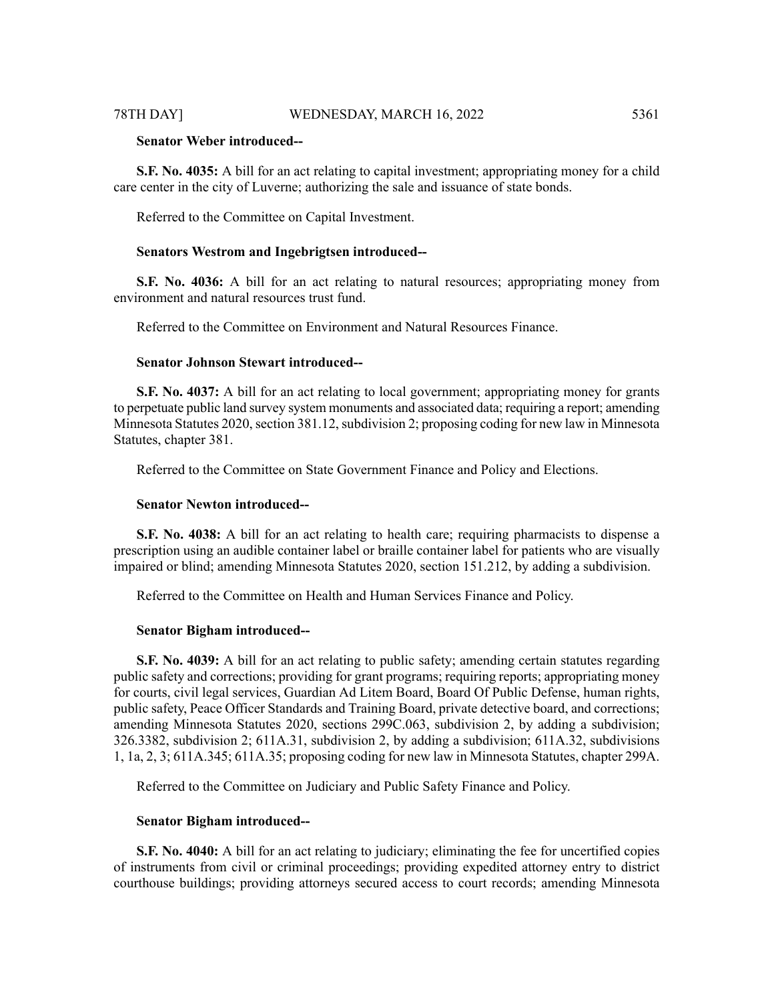**S.F. No. 4035:** A bill for an act relating to capital investment; appropriating money for a child care center in the city of Luverne; authorizing the sale and issuance of state bonds.

Referred to the Committee on Capital Investment.

#### **Senators Westrom and Ingebrigtsen introduced--**

**S.F. No. 4036:** A bill for an act relating to natural resources; appropriating money from environment and natural resources trust fund.

Referred to the Committee on Environment and Natural Resources Finance.

### **Senator Johnson Stewart introduced--**

**S.F. No. 4037:** A bill for an act relating to local government; appropriating money for grants to perpetuate public land survey system monuments and associated data; requiring a report; amending Minnesota Statutes 2020, section 381.12, subdivision 2; proposing coding for new law in Minnesota Statutes, chapter 381.

Referred to the Committee on State Government Finance and Policy and Elections.

#### **Senator Newton introduced--**

**S.F. No. 4038:** A bill for an act relating to health care; requiring pharmacists to dispense a prescription using an audible container label or braille container label for patients who are visually impaired or blind; amending Minnesota Statutes 2020, section 151.212, by adding a subdivision.

Referred to the Committee on Health and Human Services Finance and Policy.

#### **Senator Bigham introduced--**

**S.F. No. 4039:** A bill for an act relating to public safety; amending certain statutes regarding public safety and corrections; providing for grant programs; requiring reports; appropriating money for courts, civil legal services, Guardian Ad Litem Board, Board Of Public Defense, human rights, public safety, Peace Officer Standards and Training Board, private detective board, and corrections; amending Minnesota Statutes 2020, sections 299C.063, subdivision 2, by adding a subdivision; 326.3382, subdivision 2; 611A.31, subdivision 2, by adding a subdivision; 611A.32, subdivisions 1, 1a, 2, 3; 611A.345; 611A.35; proposing coding for new law in Minnesota Statutes, chapter 299A.

Referred to the Committee on Judiciary and Public Safety Finance and Policy.

#### **Senator Bigham introduced--**

**S.F. No. 4040:** A bill for an act relating to judiciary; eliminating the fee for uncertified copies of instruments from civil or criminal proceedings; providing expedited attorney entry to district courthouse buildings; providing attorneys secured access to court records; amending Minnesota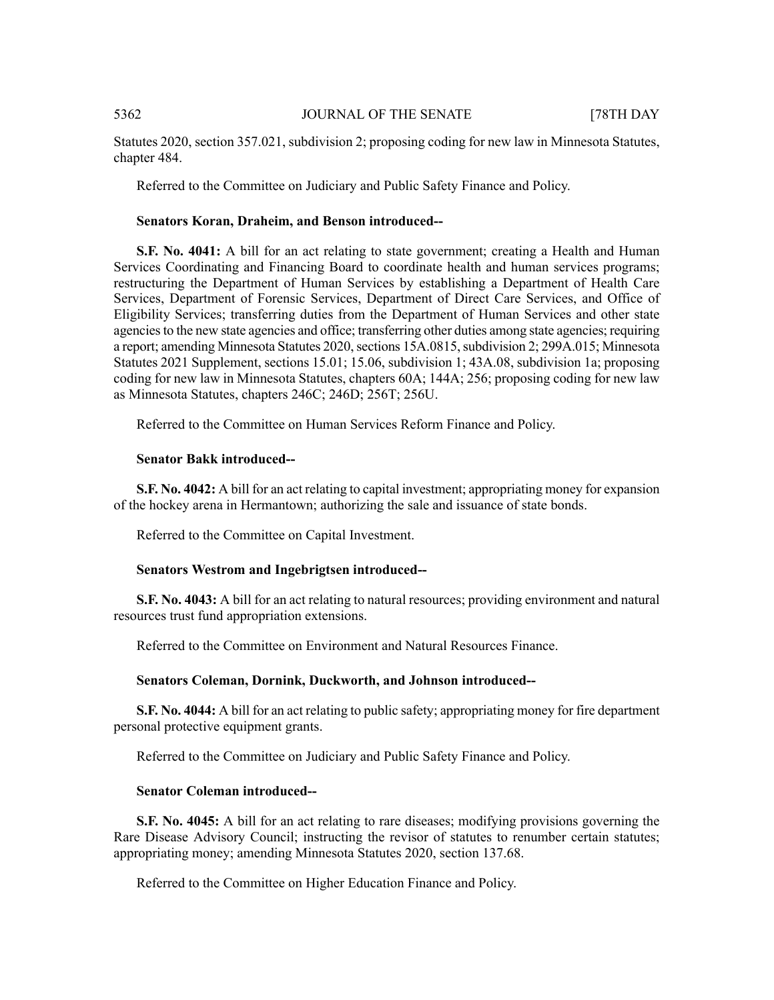Statutes 2020, section 357.021, subdivision 2; proposing coding for new law in Minnesota Statutes, chapter 484.

Referred to the Committee on Judiciary and Public Safety Finance and Policy.

#### **Senators Koran, Draheim, and Benson introduced--**

**S.F. No. 4041:** A bill for an act relating to state government; creating a Health and Human Services Coordinating and Financing Board to coordinate health and human services programs; restructuring the Department of Human Services by establishing a Department of Health Care Services, Department of Forensic Services, Department of Direct Care Services, and Office of Eligibility Services; transferring duties from the Department of Human Services and other state agencies to the new state agencies and office; transferring other duties among state agencies; requiring a report; amending Minnesota Statutes 2020, sections 15A.0815, subdivision 2; 299A.015; Minnesota Statutes 2021 Supplement, sections 15.01; 15.06, subdivision 1; 43A.08, subdivision 1a; proposing coding for new law in Minnesota Statutes, chapters 60A; 144A; 256; proposing coding for new law as Minnesota Statutes, chapters 246C; 246D; 256T; 256U.

Referred to the Committee on Human Services Reform Finance and Policy.

#### **Senator Bakk introduced--**

**S.F. No. 4042:** A bill for an act relating to capital investment; appropriating money for expansion of the hockey arena in Hermantown; authorizing the sale and issuance of state bonds.

Referred to the Committee on Capital Investment.

#### **Senators Westrom and Ingebrigtsen introduced--**

**S.F. No. 4043:** A bill for an act relating to natural resources; providing environment and natural resources trust fund appropriation extensions.

Referred to the Committee on Environment and Natural Resources Finance.

#### **Senators Coleman, Dornink, Duckworth, and Johnson introduced--**

**S.F. No. 4044:** A bill for an act relating to public safety; appropriating money for fire department personal protective equipment grants.

Referred to the Committee on Judiciary and Public Safety Finance and Policy.

#### **Senator Coleman introduced--**

**S.F. No. 4045:** A bill for an act relating to rare diseases; modifying provisions governing the Rare Disease Advisory Council; instructing the revisor of statutes to renumber certain statutes; appropriating money; amending Minnesota Statutes 2020, section 137.68.

Referred to the Committee on Higher Education Finance and Policy.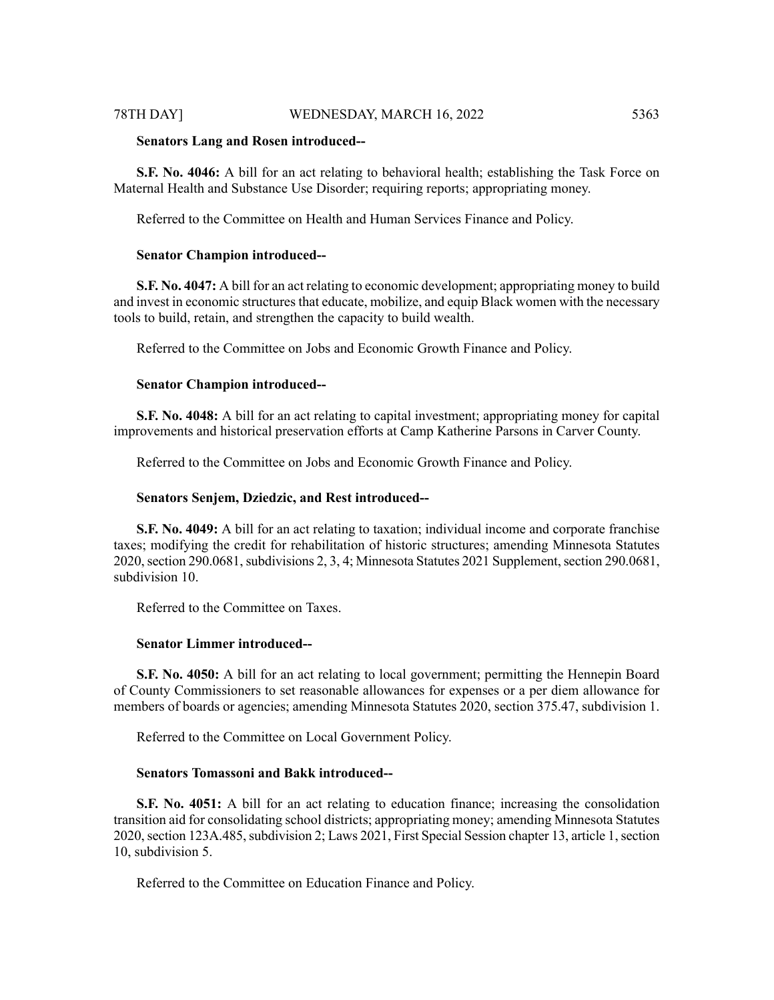#### 78TH DAY] WEDNESDAY, MARCH 16, 2022 5363

#### **Senators Lang and Rosen introduced--**

**S.F. No. 4046:** A bill for an act relating to behavioral health; establishing the Task Force on Maternal Health and Substance Use Disorder; requiring reports; appropriating money.

Referred to the Committee on Health and Human Services Finance and Policy.

#### **Senator Champion introduced--**

**S.F. No. 4047:** A bill for an act relating to economic development; appropriating money to build and invest in economic structures that educate, mobilize, and equip Black women with the necessary tools to build, retain, and strengthen the capacity to build wealth.

Referred to the Committee on Jobs and Economic Growth Finance and Policy.

#### **Senator Champion introduced--**

**S.F. No. 4048:** A bill for an act relating to capital investment; appropriating money for capital improvements and historical preservation efforts at Camp Katherine Parsons in Carver County.

Referred to the Committee on Jobs and Economic Growth Finance and Policy.

#### **Senators Senjem, Dziedzic, and Rest introduced--**

**S.F. No. 4049:** A bill for an act relating to taxation; individual income and corporate franchise taxes; modifying the credit for rehabilitation of historic structures; amending Minnesota Statutes 2020, section 290.0681, subdivisions 2, 3, 4; Minnesota Statutes 2021 Supplement, section 290.0681, subdivision 10.

Referred to the Committee on Taxes.

#### **Senator Limmer introduced--**

**S.F. No. 4050:** A bill for an act relating to local government; permitting the Hennepin Board of County Commissioners to set reasonable allowances for expenses or a per diem allowance for members of boards or agencies; amending Minnesota Statutes 2020, section 375.47, subdivision 1.

Referred to the Committee on Local Government Policy.

#### **Senators Tomassoni and Bakk introduced--**

**S.F. No. 4051:** A bill for an act relating to education finance; increasing the consolidation transition aid for consolidating school districts; appropriating money; amending Minnesota Statutes 2020, section 123A.485, subdivision 2; Laws 2021, First Special Session chapter 13, article 1, section 10, subdivision 5.

Referred to the Committee on Education Finance and Policy.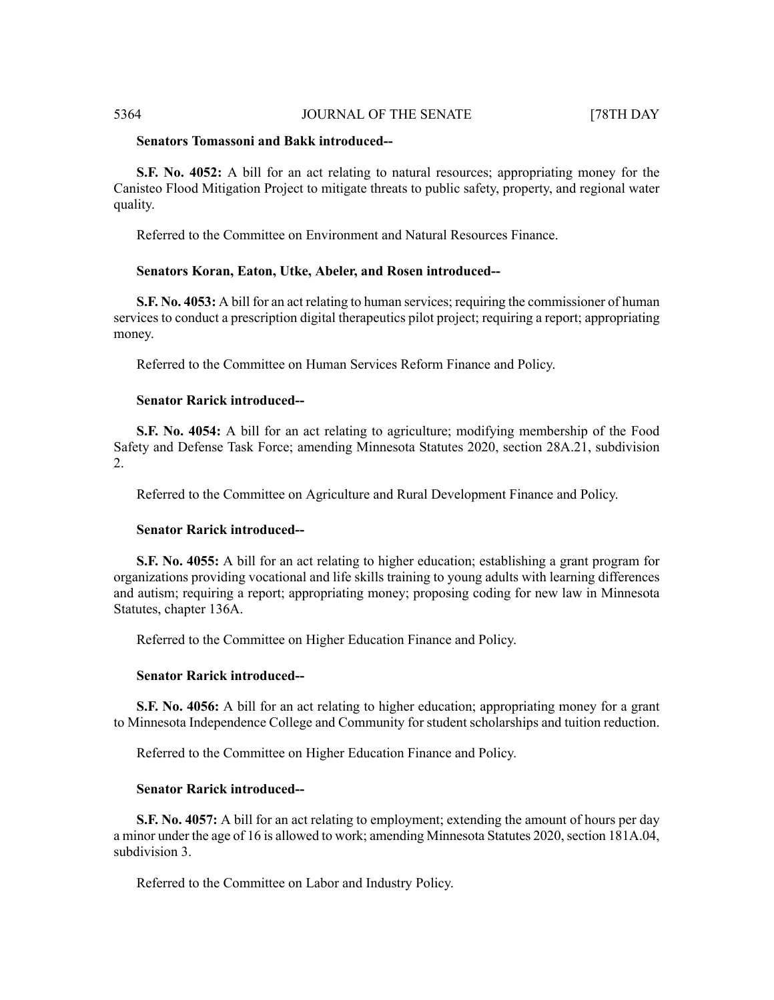### **Senators Tomassoni and Bakk introduced--**

**S.F. No. 4052:** A bill for an act relating to natural resources; appropriating money for the Canisteo Flood Mitigation Project to mitigate threats to public safety, property, and regional water quality.

Referred to the Committee on Environment and Natural Resources Finance.

#### **Senators Koran, Eaton, Utke, Abeler, and Rosen introduced--**

**S.F. No. 4053:** A bill for an act relating to human services; requiring the commissioner of human services to conduct a prescription digital therapeutics pilot project; requiring a report; appropriating money.

Referred to the Committee on Human Services Reform Finance and Policy.

#### **Senator Rarick introduced--**

**S.F. No. 4054:** A bill for an act relating to agriculture; modifying membership of the Food Safety and Defense Task Force; amending Minnesota Statutes 2020, section 28A.21, subdivision 2.

Referred to the Committee on Agriculture and Rural Development Finance and Policy.

#### **Senator Rarick introduced--**

**S.F. No. 4055:** A bill for an act relating to higher education; establishing a grant program for organizations providing vocational and life skills training to young adults with learning differences and autism; requiring a report; appropriating money; proposing coding for new law in Minnesota Statutes, chapter 136A.

Referred to the Committee on Higher Education Finance and Policy.

#### **Senator Rarick introduced--**

**S.F. No. 4056:** A bill for an act relating to higher education; appropriating money for a grant to Minnesota Independence College and Community for student scholarships and tuition reduction.

Referred to the Committee on Higher Education Finance and Policy.

#### **Senator Rarick introduced--**

**S.F. No. 4057:** A bill for an act relating to employment; extending the amount of hours per day a minor under the age of 16 is allowed to work; amending Minnesota Statutes 2020, section 181A.04, subdivision 3.

Referred to the Committee on Labor and Industry Policy.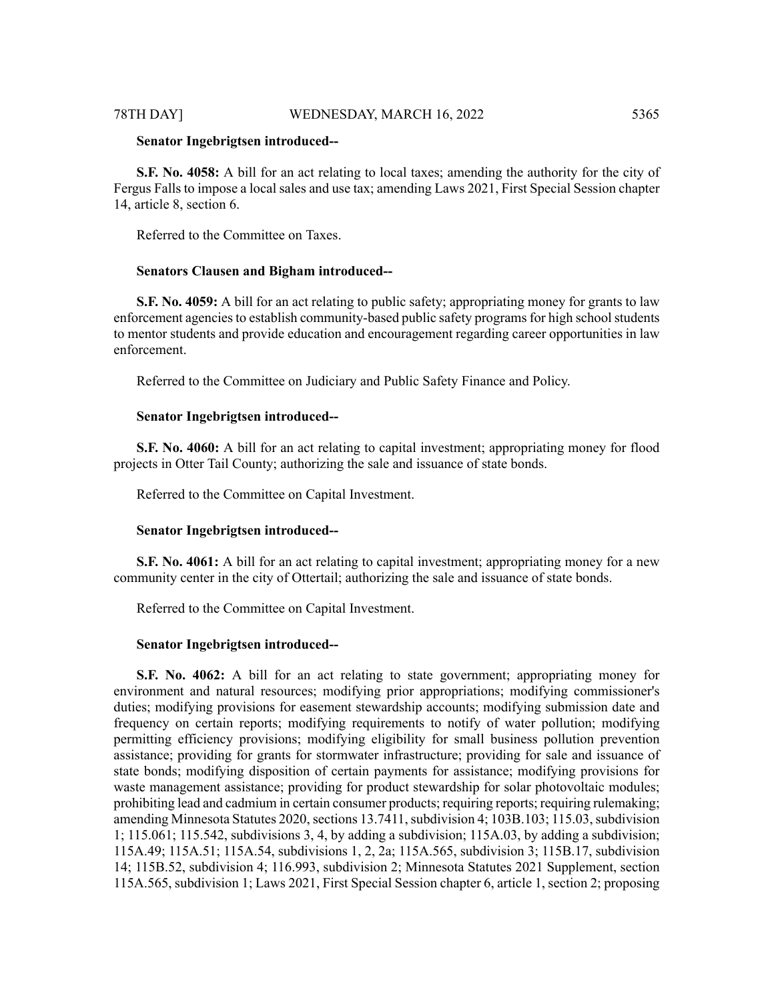#### 78TH DAY] WEDNESDAY, MARCH 16, 2022 5365

#### **Senator Ingebrigtsen introduced--**

**S.F. No. 4058:** A bill for an act relating to local taxes; amending the authority for the city of Fergus Falls to impose a local sales and use tax; amending Laws 2021, First Special Session chapter 14, article 8, section 6.

Referred to the Committee on Taxes.

#### **Senators Clausen and Bigham introduced--**

**S.F. No. 4059:** A bill for an act relating to public safety; appropriating money for grants to law enforcement agencies to establish community-based public safety programs for high school students to mentor students and provide education and encouragement regarding career opportunities in law enforcement.

Referred to the Committee on Judiciary and Public Safety Finance and Policy.

#### **Senator Ingebrigtsen introduced--**

**S.F. No. 4060:** A bill for an act relating to capital investment; appropriating money for flood projects in Otter Tail County; authorizing the sale and issuance of state bonds.

Referred to the Committee on Capital Investment.

#### **Senator Ingebrigtsen introduced--**

**S.F. No. 4061:** A bill for an act relating to capital investment; appropriating money for a new community center in the city of Ottertail; authorizing the sale and issuance of state bonds.

Referred to the Committee on Capital Investment.

#### **Senator Ingebrigtsen introduced--**

**S.F. No. 4062:** A bill for an act relating to state government; appropriating money for environment and natural resources; modifying prior appropriations; modifying commissioner's duties; modifying provisions for easement stewardship accounts; modifying submission date and frequency on certain reports; modifying requirements to notify of water pollution; modifying permitting efficiency provisions; modifying eligibility for small business pollution prevention assistance; providing for grants for stormwater infrastructure; providing for sale and issuance of state bonds; modifying disposition of certain payments for assistance; modifying provisions for waste management assistance; providing for product stewardship for solar photovoltaic modules; prohibiting lead and cadmium in certain consumer products; requiring reports; requiring rulemaking; amending Minnesota Statutes 2020, sections 13.7411, subdivision 4; 103B.103; 115.03, subdivision 1; 115.061; 115.542, subdivisions 3, 4, by adding a subdivision; 115A.03, by adding a subdivision; 115A.49; 115A.51; 115A.54, subdivisions 1, 2, 2a; 115A.565, subdivision 3; 115B.17, subdivision 14; 115B.52, subdivision 4; 116.993, subdivision 2; Minnesota Statutes 2021 Supplement, section 115A.565, subdivision 1; Laws 2021, First Special Session chapter 6, article 1, section 2; proposing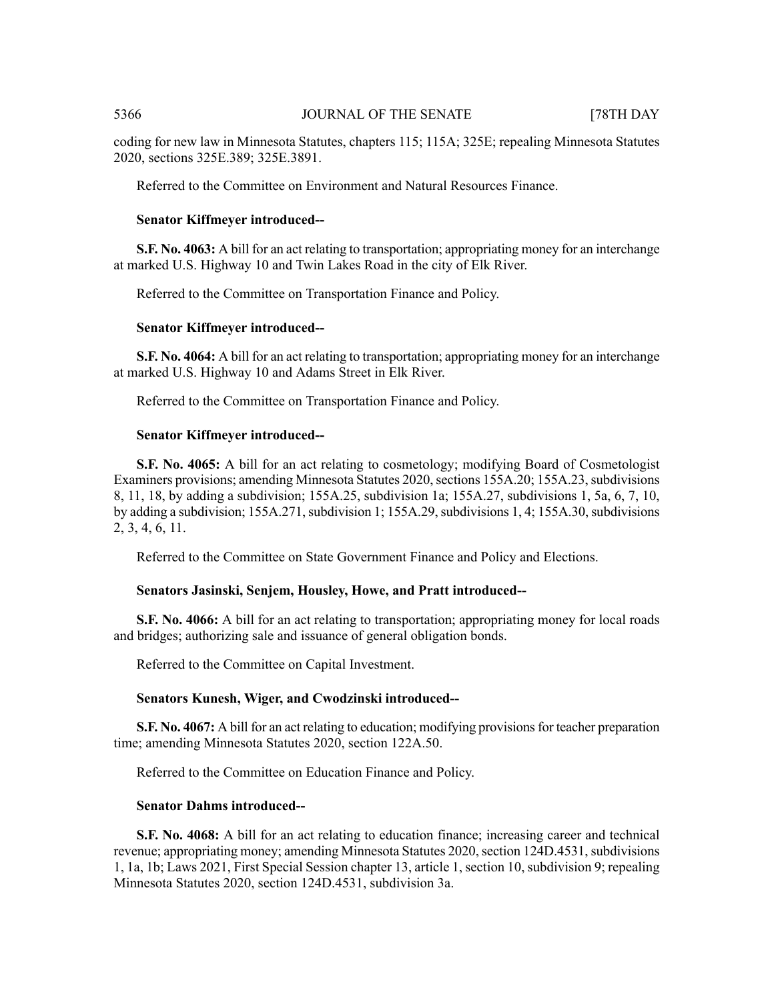coding for new law in Minnesota Statutes, chapters 115; 115A; 325E; repealing Minnesota Statutes 2020, sections 325E.389; 325E.3891.

Referred to the Committee on Environment and Natural Resources Finance.

#### **Senator Kiffmeyer introduced--**

**S.F. No. 4063:** A bill for an act relating to transportation; appropriating money for an interchange at marked U.S. Highway 10 and Twin Lakes Road in the city of Elk River.

Referred to the Committee on Transportation Finance and Policy.

#### **Senator Kiffmeyer introduced--**

**S.F. No. 4064:** A bill for an act relating to transportation; appropriating money for an interchange at marked U.S. Highway 10 and Adams Street in Elk River.

Referred to the Committee on Transportation Finance and Policy.

#### **Senator Kiffmeyer introduced--**

**S.F. No. 4065:** A bill for an act relating to cosmetology; modifying Board of Cosmetologist Examiners provisions; amending Minnesota Statutes 2020, sections 155A.20; 155A.23, subdivisions 8, 11, 18, by adding a subdivision; 155A.25, subdivision 1a; 155A.27, subdivisions 1, 5a, 6, 7, 10, by adding a subdivision; 155A.271, subdivision 1; 155A.29, subdivisions 1, 4; 155A.30, subdivisions 2, 3, 4, 6, 11.

Referred to the Committee on State Government Finance and Policy and Elections.

#### **Senators Jasinski, Senjem, Housley, Howe, and Pratt introduced--**

**S.F. No. 4066:** A bill for an act relating to transportation; appropriating money for local roads and bridges; authorizing sale and issuance of general obligation bonds.

Referred to the Committee on Capital Investment.

#### **Senators Kunesh, Wiger, and Cwodzinski introduced--**

**S.F. No. 4067:** A bill for an act relating to education; modifying provisions for teacher preparation time; amending Minnesota Statutes 2020, section 122A.50.

Referred to the Committee on Education Finance and Policy.

#### **Senator Dahms introduced--**

**S.F. No. 4068:** A bill for an act relating to education finance; increasing career and technical revenue; appropriating money; amending Minnesota Statutes 2020, section 124D.4531, subdivisions 1, 1a, 1b; Laws 2021, First Special Session chapter 13, article 1, section 10, subdivision 9; repealing Minnesota Statutes 2020, section 124D.4531, subdivision 3a.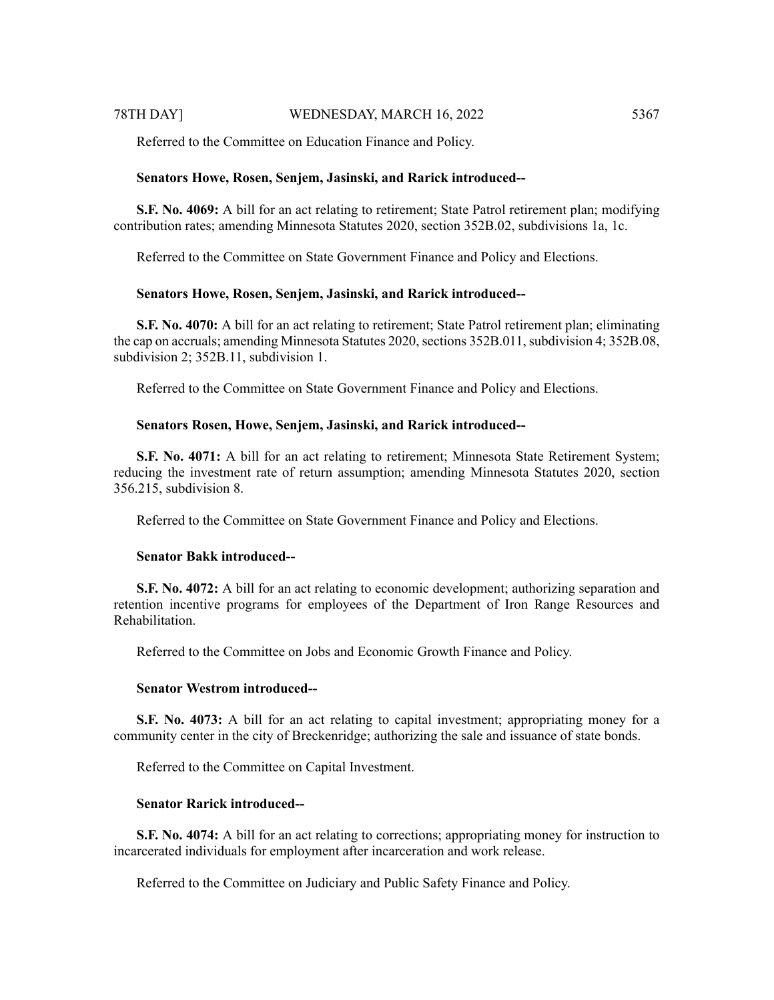Referred to the Committee on Education Finance and Policy.

#### **Senators Howe, Rosen, Senjem, Jasinski, and Rarick introduced--**

**S.F. No. 4069:** A bill for an act relating to retirement; State Patrol retirement plan; modifying contribution rates; amending Minnesota Statutes 2020, section 352B.02, subdivisions 1a, 1c.

Referred to the Committee on State Government Finance and Policy and Elections.

#### **Senators Howe, Rosen, Senjem, Jasinski, and Rarick introduced--**

**S.F. No. 4070:** A bill for an act relating to retirement; State Patrol retirement plan; eliminating the cap on accruals; amending Minnesota Statutes 2020, sections 352B.011, subdivision 4; 352B.08, subdivision 2; 352B.11, subdivision 1.

Referred to the Committee on State Government Finance and Policy and Elections.

#### **Senators Rosen, Howe, Senjem, Jasinski, and Rarick introduced--**

**S.F. No. 4071:** A bill for an act relating to retirement; Minnesota State Retirement System; reducing the investment rate of return assumption; amending Minnesota Statutes 2020, section 356.215, subdivision 8.

Referred to the Committee on State Government Finance and Policy and Elections.

#### **Senator Bakk introduced--**

**S.F. No. 4072:** A bill for an act relating to economic development; authorizing separation and retention incentive programs for employees of the Department of Iron Range Resources and Rehabilitation.

Referred to the Committee on Jobs and Economic Growth Finance and Policy.

#### **Senator Westrom introduced--**

**S.F. No. 4073:** A bill for an act relating to capital investment; appropriating money for a community center in the city of Breckenridge; authorizing the sale and issuance of state bonds.

Referred to the Committee on Capital Investment.

#### **Senator Rarick introduced--**

**S.F. No. 4074:** A bill for an act relating to corrections; appropriating money for instruction to incarcerated individuals for employment after incarceration and work release.

Referred to the Committee on Judiciary and Public Safety Finance and Policy.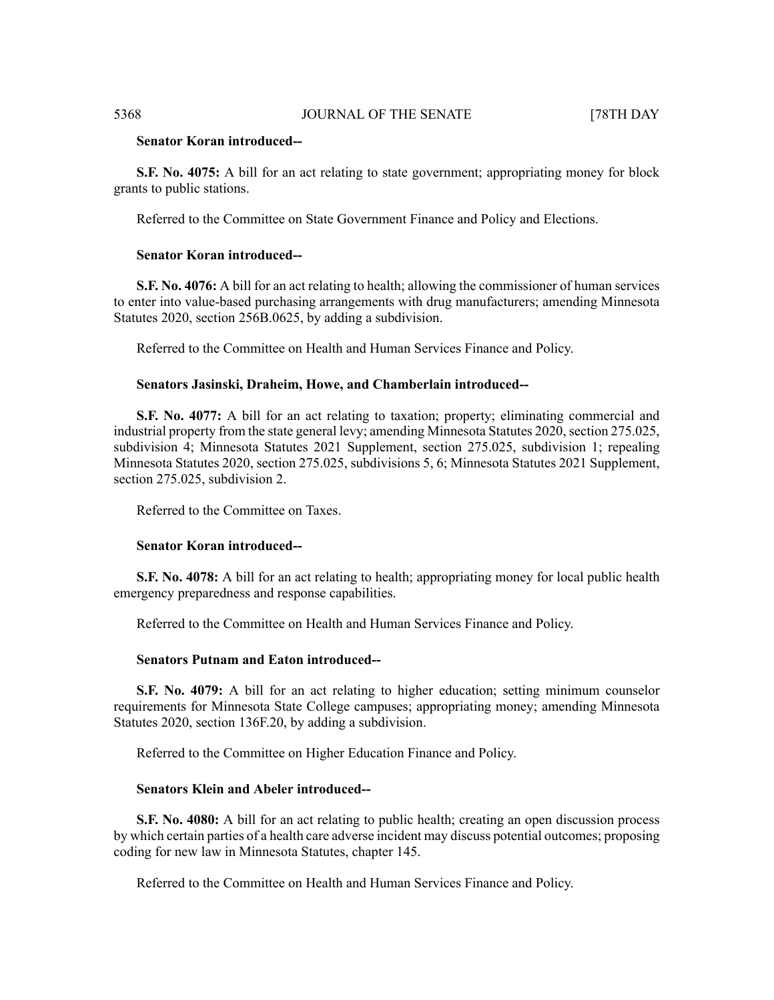#### **Senator Koran introduced--**

**S.F. No. 4075:** A bill for an act relating to state government; appropriating money for block grants to public stations.

Referred to the Committee on State Government Finance and Policy and Elections.

#### **Senator Koran introduced--**

**S.F. No. 4076:** A bill for an act relating to health; allowing the commissioner of human services to enter into value-based purchasing arrangements with drug manufacturers; amending Minnesota Statutes 2020, section 256B.0625, by adding a subdivision.

Referred to the Committee on Health and Human Services Finance and Policy.

#### **Senators Jasinski, Draheim, Howe, and Chamberlain introduced--**

**S.F. No. 4077:** A bill for an act relating to taxation; property; eliminating commercial and industrial property from the state general levy; amending Minnesota Statutes 2020, section 275.025, subdivision 4; Minnesota Statutes 2021 Supplement, section 275.025, subdivision 1; repealing Minnesota Statutes 2020, section 275.025, subdivisions 5, 6; Minnesota Statutes 2021 Supplement, section 275.025, subdivision 2.

Referred to the Committee on Taxes.

#### **Senator Koran introduced--**

**S.F. No. 4078:** A bill for an act relating to health; appropriating money for local public health emergency preparedness and response capabilities.

Referred to the Committee on Health and Human Services Finance and Policy.

#### **Senators Putnam and Eaton introduced--**

**S.F. No. 4079:** A bill for an act relating to higher education; setting minimum counselor requirements for Minnesota State College campuses; appropriating money; amending Minnesota Statutes 2020, section 136F.20, by adding a subdivision.

Referred to the Committee on Higher Education Finance and Policy.

#### **Senators Klein and Abeler introduced--**

**S.F. No. 4080:** A bill for an act relating to public health; creating an open discussion process by which certain parties of a health care adverse incident may discuss potential outcomes; proposing coding for new law in Minnesota Statutes, chapter 145.

Referred to the Committee on Health and Human Services Finance and Policy.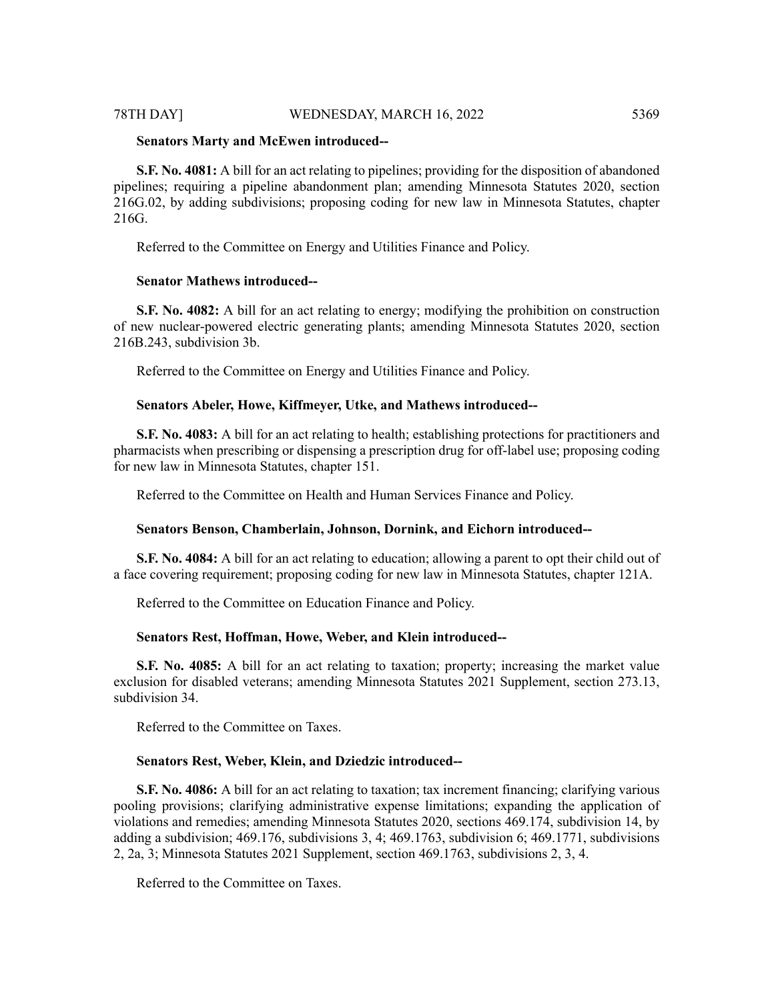#### 78TH DAY] WEDNESDAY, MARCH 16, 2022 5369

#### **Senators Marty and McEwen introduced--**

**S.F. No. 4081:** A bill for an act relating to pipelines; providing for the disposition of abandoned pipelines; requiring a pipeline abandonment plan; amending Minnesota Statutes 2020, section 216G.02, by adding subdivisions; proposing coding for new law in Minnesota Statutes, chapter 216G.

Referred to the Committee on Energy and Utilities Finance and Policy.

#### **Senator Mathews introduced--**

**S.F. No. 4082:** A bill for an act relating to energy; modifying the prohibition on construction of new nuclear-powered electric generating plants; amending Minnesota Statutes 2020, section 216B.243, subdivision 3b.

Referred to the Committee on Energy and Utilities Finance and Policy.

#### **Senators Abeler, Howe, Kiffmeyer, Utke, and Mathews introduced--**

**S.F. No. 4083:** A bill for an act relating to health; establishing protections for practitioners and pharmacists when prescribing or dispensing a prescription drug for off-label use; proposing coding for new law in Minnesota Statutes, chapter 151.

Referred to the Committee on Health and Human Services Finance and Policy.

#### **Senators Benson, Chamberlain, Johnson, Dornink, and Eichorn introduced--**

**S.F. No. 4084:** A bill for an act relating to education; allowing a parent to opt their child out of a face covering requirement; proposing coding for new law in Minnesota Statutes, chapter 121A.

Referred to the Committee on Education Finance and Policy.

#### **Senators Rest, Hoffman, Howe, Weber, and Klein introduced--**

**S.F. No. 4085:** A bill for an act relating to taxation; property; increasing the market value exclusion for disabled veterans; amending Minnesota Statutes 2021 Supplement, section 273.13, subdivision 34.

Referred to the Committee on Taxes.

#### **Senators Rest, Weber, Klein, and Dziedzic introduced--**

**S.F. No. 4086:** A bill for an act relating to taxation; tax increment financing; clarifying various pooling provisions; clarifying administrative expense limitations; expanding the application of violations and remedies; amending Minnesota Statutes 2020, sections 469.174, subdivision 14, by adding a subdivision; 469.176, subdivisions 3, 4; 469.1763, subdivision 6; 469.1771, subdivisions 2, 2a, 3; Minnesota Statutes 2021 Supplement, section 469.1763, subdivisions 2, 3, 4.

Referred to the Committee on Taxes.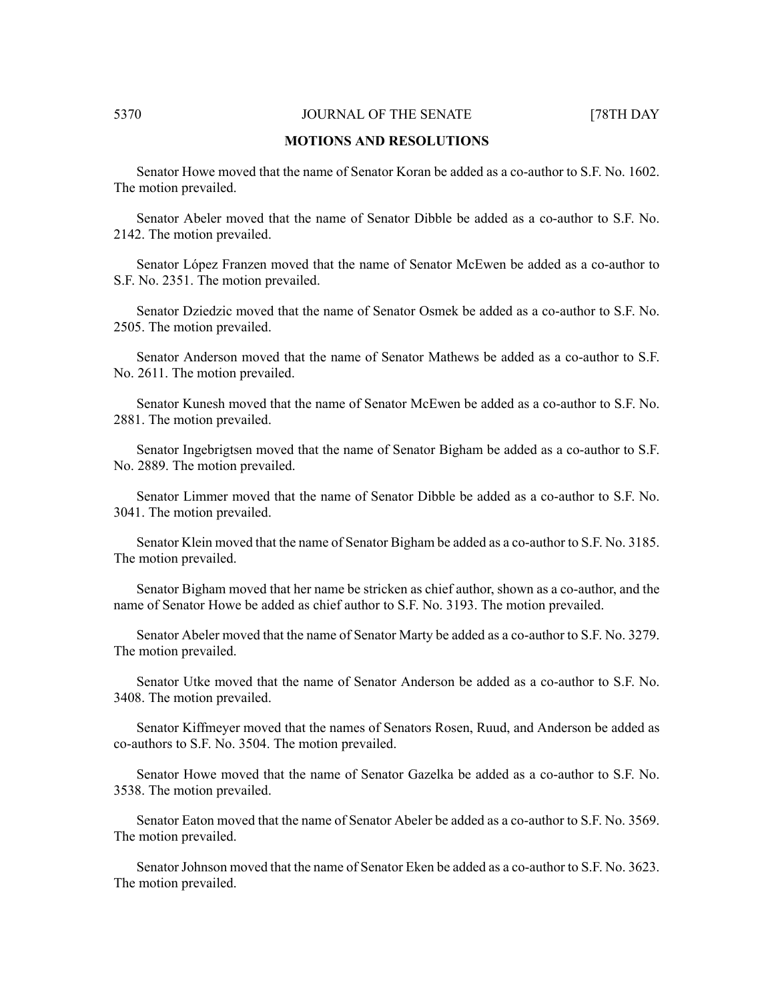#### **MOTIONS AND RESOLUTIONS**

Senator Howe moved that the name of Senator Koran be added as a co-author to S.F. No. 1602. The motion prevailed.

Senator Abeler moved that the name of Senator Dibble be added as a co-author to S.F. No. 2142. The motion prevailed.

Senator López Franzen moved that the name of Senator McEwen be added as a co-author to S.F. No. 2351. The motion prevailed.

Senator Dziedzic moved that the name of Senator Osmek be added as a co-author to S.F. No. 2505. The motion prevailed.

Senator Anderson moved that the name of Senator Mathews be added as a co-author to S.F. No. 2611. The motion prevailed.

Senator Kunesh moved that the name of Senator McEwen be added as a co-author to S.F. No. 2881. The motion prevailed.

Senator Ingebrigtsen moved that the name of Senator Bigham be added as a co-author to S.F. No. 2889. The motion prevailed.

Senator Limmer moved that the name of Senator Dibble be added as a co-author to S.F. No. 3041. The motion prevailed.

Senator Klein moved that the name of Senator Bigham be added as a co-author to S.F. No. 3185. The motion prevailed.

Senator Bigham moved that her name be stricken as chief author, shown as a co-author, and the name of Senator Howe be added as chief author to S.F. No. 3193. The motion prevailed.

Senator Abeler moved that the name of Senator Marty be added as a co-author to S.F. No. 3279. The motion prevailed.

Senator Utke moved that the name of Senator Anderson be added as a co-author to S.F. No. 3408. The motion prevailed.

Senator Kiffmeyer moved that the names of Senators Rosen, Ruud, and Anderson be added as co-authors to S.F. No. 3504. The motion prevailed.

Senator Howe moved that the name of Senator Gazelka be added as a co-author to S.F. No. 3538. The motion prevailed.

Senator Eaton moved that the name of Senator Abeler be added as a co-author to S.F. No. 3569. The motion prevailed.

Senator Johnson moved that the name of Senator Eken be added as a co-author to S.F. No. 3623. The motion prevailed.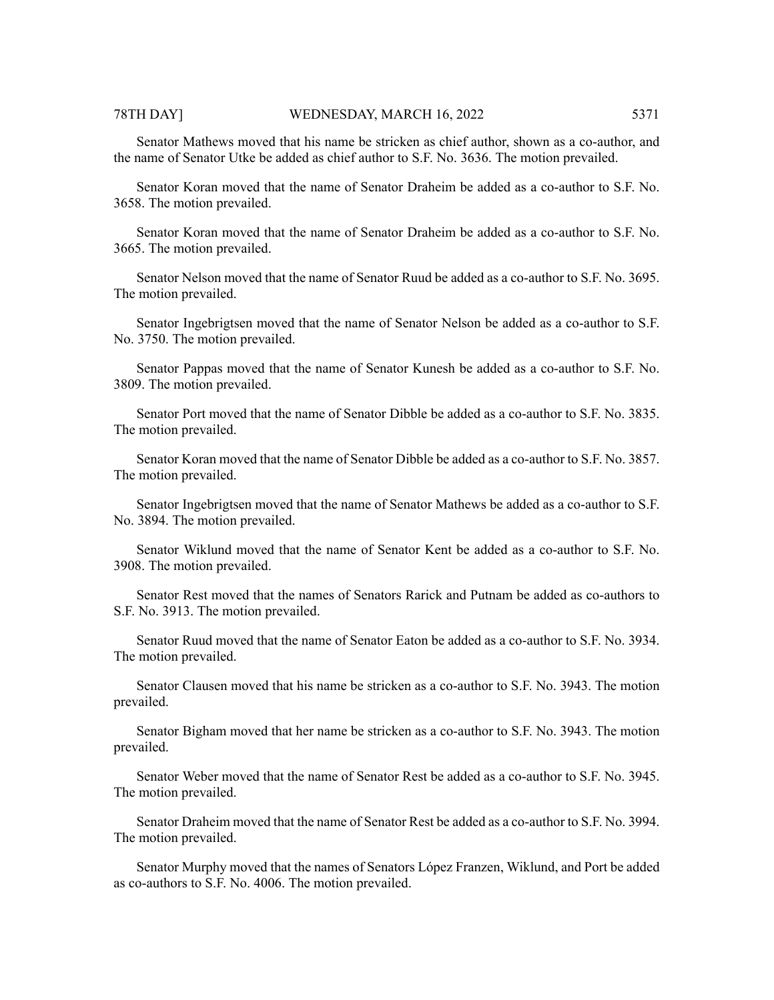#### 78TH DAY] WEDNESDAY, MARCH 16, 2022 5371

Senator Mathews moved that his name be stricken as chief author, shown as a co-author, and the name of Senator Utke be added as chief author to S.F. No. 3636. The motion prevailed.

Senator Koran moved that the name of Senator Draheim be added as a co-author to S.F. No. 3658. The motion prevailed.

Senator Koran moved that the name of Senator Draheim be added as a co-author to S.F. No. 3665. The motion prevailed.

Senator Nelson moved that the name of Senator Ruud be added as a co-author to S.F. No. 3695. The motion prevailed.

Senator Ingebrigtsen moved that the name of Senator Nelson be added as a co-author to S.F. No. 3750. The motion prevailed.

Senator Pappas moved that the name of Senator Kunesh be added as a co-author to S.F. No. 3809. The motion prevailed.

Senator Port moved that the name of Senator Dibble be added as a co-author to S.F. No. 3835. The motion prevailed.

Senator Koran moved that the name of Senator Dibble be added as a co-author to S.F. No. 3857. The motion prevailed.

Senator Ingebrigtsen moved that the name of Senator Mathews be added as a co-author to S.F. No. 3894. The motion prevailed.

Senator Wiklund moved that the name of Senator Kent be added as a co-author to S.F. No. 3908. The motion prevailed.

Senator Rest moved that the names of Senators Rarick and Putnam be added as co-authors to S.F. No. 3913. The motion prevailed.

Senator Ruud moved that the name of Senator Eaton be added as a co-author to S.F. No. 3934. The motion prevailed.

Senator Clausen moved that his name be stricken as a co-author to S.F. No. 3943. The motion prevailed.

Senator Bigham moved that her name be stricken as a co-author to S.F. No. 3943. The motion prevailed.

Senator Weber moved that the name of Senator Rest be added as a co-author to S.F. No. 3945. The motion prevailed.

Senator Draheim moved that the name of Senator Rest be added as a co-author to S.F. No. 3994. The motion prevailed.

Senator Murphy moved that the names of Senators López Franzen, Wiklund, and Port be added as co-authors to S.F. No. 4006. The motion prevailed.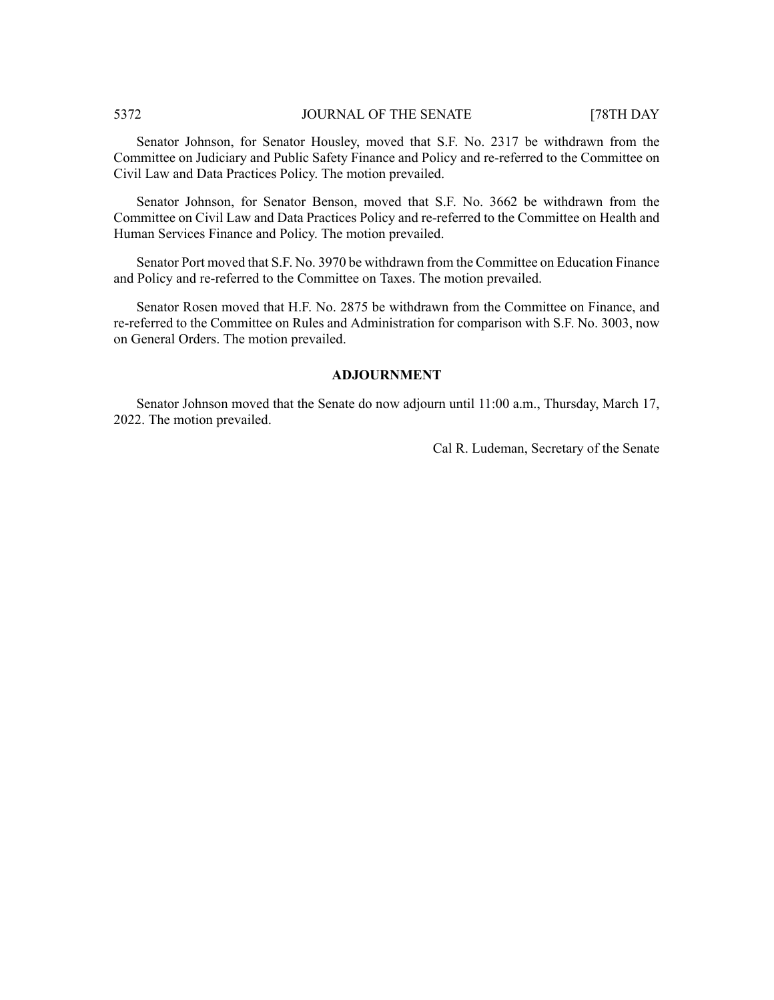Senator Johnson, for Senator Housley, moved that S.F. No. 2317 be withdrawn from the Committee on Judiciary and Public Safety Finance and Policy and re-referred to the Committee on Civil Law and Data Practices Policy. The motion prevailed.

Senator Johnson, for Senator Benson, moved that S.F. No. 3662 be withdrawn from the Committee on Civil Law and Data Practices Policy and re-referred to the Committee on Health and Human Services Finance and Policy. The motion prevailed.

Senator Port moved that S.F. No. 3970 be withdrawn from the Committee on Education Finance and Policy and re-referred to the Committee on Taxes. The motion prevailed.

Senator Rosen moved that H.F. No. 2875 be withdrawn from the Committee on Finance, and re-referred to the Committee on Rules and Administration for comparison with S.F. No. 3003, now on General Orders. The motion prevailed.

### **ADJOURNMENT**

Senator Johnson moved that the Senate do now adjourn until 11:00 a.m., Thursday, March 17, 2022. The motion prevailed.

Cal R. Ludeman, Secretary of the Senate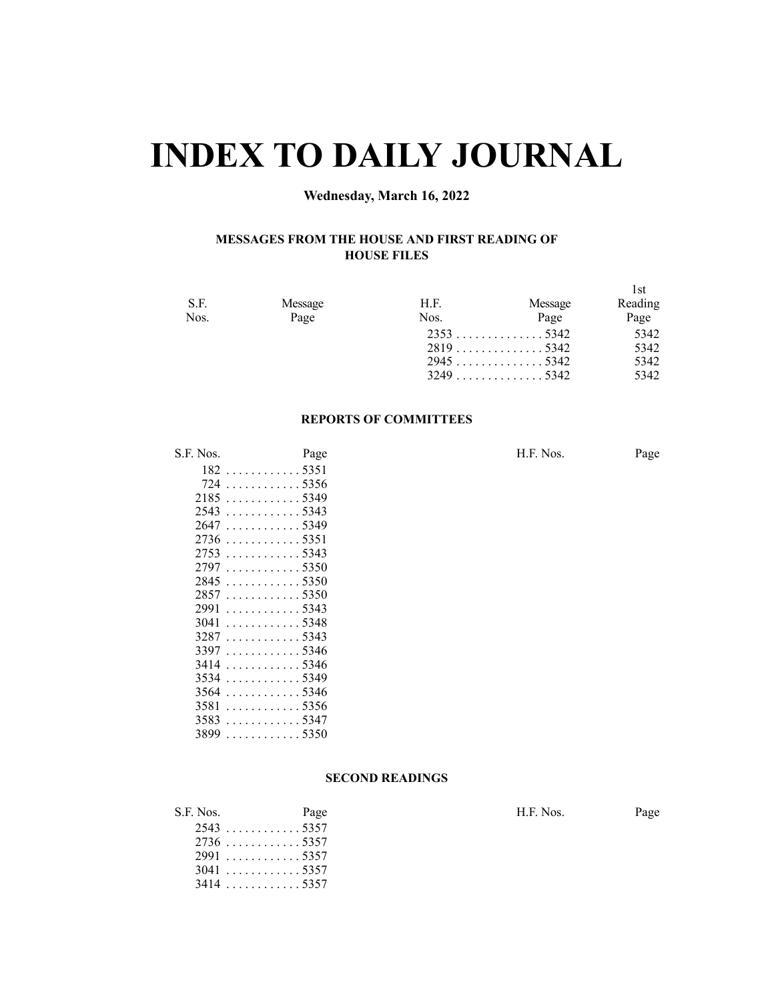# **INDEX TO DAILY JOURNAL**

## **Wednesday, March 16, 2022**

#### **MESSAGES FROM THE HOUSE AND FIRST READING OF HOUSE FILES**

| S.F. | Message | H.F. | Message | l st<br>Reading |
|------|---------|------|---------|-----------------|
| Nos. | Page    | Nos. | Page    | Page            |
|      |         |      |         | 5342            |
|      |         |      |         | 5342<br>5342    |
|      |         |      |         | 5342            |

### **REPORTS OF COMMITTEES**

| S.F. Nos. | Page                                   |  | H.F. Nos. | Page |
|-----------|----------------------------------------|--|-----------|------|
|           | $182 \ldots \ldots \ldots \ldots 5351$ |  |           |      |
|           | 724 5356                               |  |           |      |
|           | $2185$ 5349                            |  |           |      |
|           | $2543$ 5343                            |  |           |      |
|           | 2647 5349                              |  |           |      |
|           | $2736$ 5351                            |  |           |      |
|           |                                        |  |           |      |
|           |                                        |  |           |      |
|           | 28455350                               |  |           |      |
|           | 28575350                               |  |           |      |
|           | 29915343                               |  |           |      |
|           | $3041$ 5348                            |  |           |      |
|           | $3287 \dots $ 5343                     |  |           |      |
|           | 33975346                               |  |           |      |
|           | 34145346                               |  |           |      |
|           | $3534$ 5349                            |  |           |      |
|           | $3564$ 5346                            |  |           |      |
|           | $3581$ 5356                            |  |           |      |
|           | 3583 5347                              |  |           |      |
|           | $3899 \dots \dots \dots 5350$          |  |           |      |

#### **SECOND READINGS**

| S.F. Nos. | Page        | H.F. Nos. | Page |
|-----------|-------------|-----------|------|
|           | $2543$ 5357 |           |      |
|           | 27365357    |           |      |
|           | 29915357    |           |      |
|           | $3041$ 5357 |           |      |
|           | 3414 5357   |           |      |